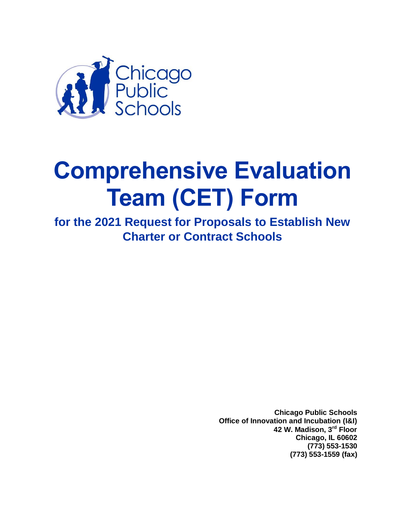

# **Comprehensive Evaluation Team (CET) Form**

**for the 2021 Request for Proposals to Establish New Charter or Contract Schools**

> **Chicago Public Schools Office of Innovation and Incubation (I&I) 42 W. Madison, 3rd Floor Chicago, IL 60602 (773) 553-1530 (773) 553-1559 (fax)**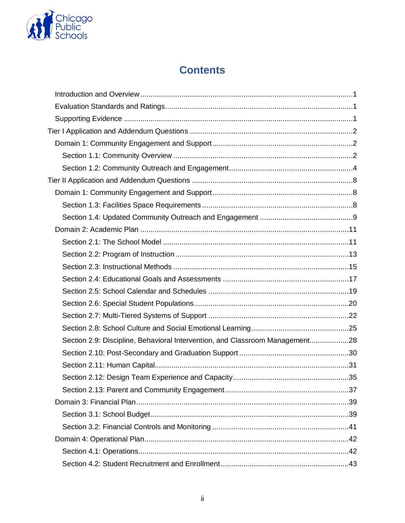

# **Contents**

| Section 2.9: Discipline, Behavioral Intervention, and Classroom Management28 |  |
|------------------------------------------------------------------------------|--|
|                                                                              |  |
|                                                                              |  |
|                                                                              |  |
|                                                                              |  |
|                                                                              |  |
|                                                                              |  |
|                                                                              |  |
|                                                                              |  |
|                                                                              |  |
|                                                                              |  |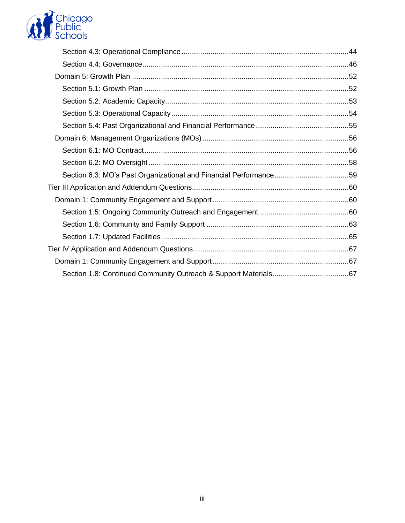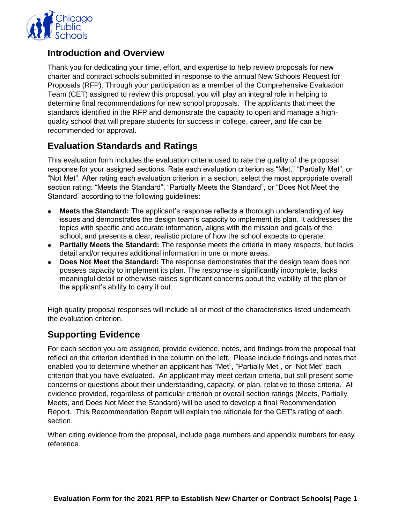

# <span id="page-3-0"></span>**Introduction and Overview**

Thank you for dedicating your time, effort, and expertise to help review proposals for new charter and contract schools submitted in response to the annual New Schools Request for Proposals (RFP). Through your participation as a member of the Comprehensive Evaluation Team (CET) assigned to review this proposal, you will play an integral role in helping to determine final recommendations for new school proposals. The applicants that meet the standards identified in the RFP and demonstrate the capacity to open and manage a highquality school that will prepare students for success in college, career, and life can be recommended for approval.

# <span id="page-3-1"></span>**Evaluation Standards and Ratings**

This evaluation form includes the evaluation criteria used to rate the quality of the proposal response for your assigned sections. Rate each evaluation criterion as "Met," "Partially Met", or "Not Met". After rating each evaluation criterion in a section, select the most appropriate overall section rating: "Meets the Standard", "Partially Meets the Standard", or "Does Not Meet the Standard" according to the following guidelines:

- **Meets the Standard:** The applicant's response reflects a thorough understanding of key issues and demonstrates the design team's capacity to implement its plan. It addresses the topics with specific and accurate information, aligns with the mission and goals of the school, and presents a clear, realistic picture of how the school expects to operate.
- **Partially Meets the Standard:** The response meets the criteria in many respects, but lacks detail and/or requires additional information in one or more areas.
- **Does Not Meet the Standard:** The response demonstrates that the design team does not possess capacity to implement its plan. The response is significantly incomplete, lacks meaningful detail or otherwise raises significant concerns about the viability of the plan or the applicant's ability to carry it out.

High quality proposal responses will include all or most of the characteristics listed underneath the evaluation criterion.

# <span id="page-3-2"></span>**Supporting Evidence**

For each section you are assigned, provide evidence, notes, and findings from the proposal that reflect on the criterion identified in the column on the left. Please include findings and notes that enabled you to determine whether an applicant has "Met", "Partially Met", or "Not Met" each criterion that you have evaluated. An applicant may meet certain criteria, but still present some concerns or questions about their understanding, capacity, or plan, relative to those criteria. All evidence provided, regardless of particular criterion or overall section ratings (Meets, Partially Meets, and Does Not Meet the Standard) will be used to develop a final Recommendation Report. This Recommendation Report will explain the rationale for the CET's rating of each section.

When citing evidence from the proposal, include page numbers and appendix numbers for easy reference.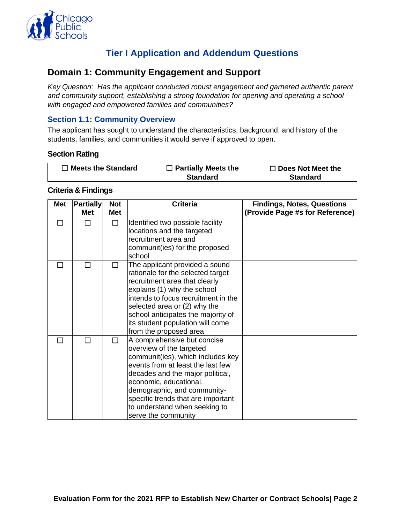

# **Tier I Application and Addendum Questions**

## <span id="page-4-1"></span><span id="page-4-0"></span>**Domain 1: Community Engagement and Support**

*Key Question: Has the applicant conducted robust engagement and garnered authentic parent and community support, establishing a strong foundation for opening and operating a school with engaged and empowered families and communities?* 

## <span id="page-4-2"></span>**Section 1.1: Community Overview**

The applicant has sought to understand the characteristics, background, and history of the students, families, and communities it would serve if approved to open.

#### **Section Rating**

| $\Box$ Meets the Standard | $\Box$ Partially Meets the | $\Box$ Does Not Meet the |
|---------------------------|----------------------------|--------------------------|
|                           | <b>Standard</b>            | <b>Standard</b>          |

| <b>Met</b>   | <b>Partially</b> | <b>Not</b> | <b>Criteria</b>                     | <b>Findings, Notes, Questions</b> |
|--------------|------------------|------------|-------------------------------------|-----------------------------------|
|              | <b>Met</b>       | <b>Met</b> |                                     | (Provide Page #s for Reference)   |
| П            | П                | $\Box$     | Identified two possible facility    |                                   |
|              |                  |            | locations and the targeted          |                                   |
|              |                  |            | recruitment area and                |                                   |
|              |                  |            | communit(ies) for the proposed      |                                   |
|              |                  |            | school                              |                                   |
| $\mathsf{L}$ | П                | П          | The applicant provided a sound      |                                   |
|              |                  |            | rationale for the selected target   |                                   |
|              |                  |            | recruitment area that clearly       |                                   |
|              |                  |            | explains (1) why the school         |                                   |
|              |                  |            | intends to focus recruitment in the |                                   |
|              |                  |            | selected area or (2) why the        |                                   |
|              |                  |            | school anticipates the majority of  |                                   |
|              |                  |            | its student population will come    |                                   |
|              |                  |            | from the proposed area              |                                   |
|              | П                | п          | A comprehensive but concise         |                                   |
|              |                  |            | overview of the targeted            |                                   |
|              |                  |            | communit(ies), which includes key   |                                   |
|              |                  |            | events from at least the last few   |                                   |
|              |                  |            | decades and the major political,    |                                   |
|              |                  |            | economic, educational,              |                                   |
|              |                  |            | demographic, and community-         |                                   |
|              |                  |            | specific trends that are important  |                                   |
|              |                  |            | to understand when seeking to       |                                   |
|              |                  |            | serve the community                 |                                   |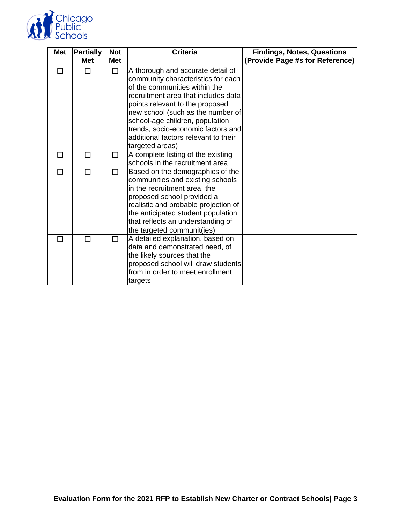

| <b>Met</b> | <b>Partially</b> | <b>Not</b> | <b>Criteria</b>                      | <b>Findings, Notes, Questions</b> |
|------------|------------------|------------|--------------------------------------|-----------------------------------|
|            | <b>Met</b>       | <b>Met</b> |                                      | (Provide Page #s for Reference)   |
| П          | П                | $\Box$     | A thorough and accurate detail of    |                                   |
|            |                  |            | community characteristics for each   |                                   |
|            |                  |            | of the communities within the        |                                   |
|            |                  |            | recruitment area that includes data  |                                   |
|            |                  |            | points relevant to the proposed      |                                   |
|            |                  |            | new school (such as the number of    |                                   |
|            |                  |            | school-age children, population      |                                   |
|            |                  |            | trends, socio-economic factors and   |                                   |
|            |                  |            | additional factors relevant to their |                                   |
|            |                  |            | targeted areas)                      |                                   |
| П          | П                | □          | A complete listing of the existing   |                                   |
|            |                  |            | schools in the recruitment area      |                                   |
| П          | П                | $\Box$     | Based on the demographics of the     |                                   |
|            |                  |            | communities and existing schools     |                                   |
|            |                  |            | in the recruitment area, the         |                                   |
|            |                  |            | proposed school provided a           |                                   |
|            |                  |            | realistic and probable projection of |                                   |
|            |                  |            | the anticipated student population   |                                   |
|            |                  |            | that reflects an understanding of    |                                   |
|            |                  |            | the targeted communit(ies)           |                                   |
| П          | П                | П          | A detailed explanation, based on     |                                   |
|            |                  |            | data and demonstrated need, of       |                                   |
|            |                  |            | the likely sources that the          |                                   |
|            |                  |            | proposed school will draw students   |                                   |
|            |                  |            | from in order to meet enrollment     |                                   |
|            |                  |            | targets                              |                                   |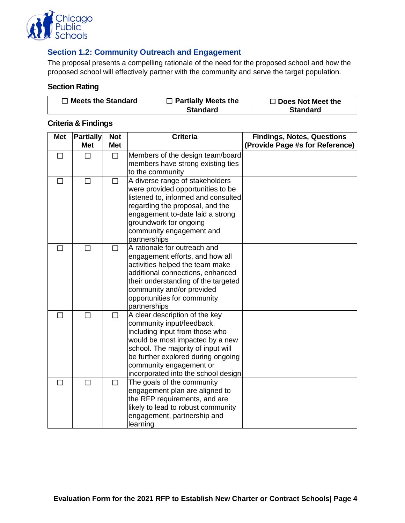

## <span id="page-6-0"></span>**Section 1.2: Community Outreach and Engagement**

The proposal presents a compelling rationale of the need for the proposed school and how the proposed school will effectively partner with the community and serve the target population.

#### **Section Rating**

| $\Box$ Meets the Standard | $\Box$ Partially Meets the | $\Box$ Does Not Meet the |
|---------------------------|----------------------------|--------------------------|
|                           | <b>Standard</b>            | <b>Standard</b>          |

| <b>Met</b> | <b>Partially</b><br><b>Met</b> | <b>Not</b><br><b>Met</b> | <b>Criteria</b>                                                                                                                                                                                                                                                                | <b>Findings, Notes, Questions</b><br>(Provide Page #s for Reference) |
|------------|--------------------------------|--------------------------|--------------------------------------------------------------------------------------------------------------------------------------------------------------------------------------------------------------------------------------------------------------------------------|----------------------------------------------------------------------|
| □          | $\Box$                         | $\Box$                   | Members of the design team/board<br>members have strong existing ties<br>to the community                                                                                                                                                                                      |                                                                      |
| ΙI         | П                              | П                        | A diverse range of stakeholders<br>were provided opportunities to be<br>listened to, informed and consulted<br>regarding the proposal, and the<br>engagement to-date laid a strong<br>groundwork for ongoing<br>community engagement and<br>partnerships                       |                                                                      |
| П          | $\Box$                         | П                        | A rationale for outreach and<br>engagement efforts, and how all<br>activities helped the team make<br>additional connections, enhanced<br>their understanding of the targeted<br>community and/or provided<br>opportunities for community<br>partnerships                      |                                                                      |
| П          | $\Box$                         | □                        | A clear description of the key<br>community input/feedback,<br>including input from those who<br>would be most impacted by a new<br>school. The majority of input will<br>be further explored during ongoing<br>community engagement or<br>incorporated into the school design |                                                                      |
| ΙI         | $\Box$                         | $\Box$                   | The goals of the community<br>engagement plan are aligned to<br>the RFP requirements, and are<br>likely to lead to robust community<br>engagement, partnership and<br>learning                                                                                                 |                                                                      |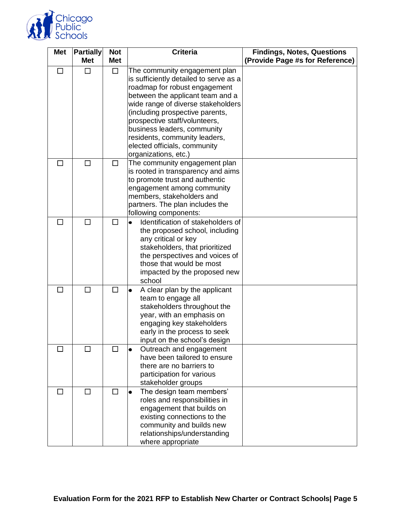

| <b>Met</b> | <b>Partially</b> | <b>Not</b>   | <b>Criteria</b>                                                                                                                                                                                                                                                                                                                                        | <b>Findings, Notes, Questions</b> |
|------------|------------------|--------------|--------------------------------------------------------------------------------------------------------------------------------------------------------------------------------------------------------------------------------------------------------------------------------------------------------------------------------------------------------|-----------------------------------|
|            | <b>Met</b>       | <b>Met</b>   |                                                                                                                                                                                                                                                                                                                                                        | (Provide Page #s for Reference)   |
|            | П                | $\Box$       | The community engagement plan<br>is sufficiently detailed to serve as a<br>roadmap for robust engagement<br>between the applicant team and a<br>wide range of diverse stakeholders<br>(including prospective parents,<br>prospective staff/volunteers,<br>business leaders, community<br>residents, community leaders,<br>elected officials, community |                                   |
|            |                  |              | organizations, etc.)                                                                                                                                                                                                                                                                                                                                   |                                   |
| $\Box$     | □                | $\Box$       | The community engagement plan<br>is rooted in transparency and aims<br>to promote trust and authentic<br>engagement among community<br>members, stakeholders and<br>partners. The plan includes the<br>following components:                                                                                                                           |                                   |
| П          | П                | П            | Identification of stakeholders of<br>the proposed school, including<br>any critical or key<br>stakeholders, that prioritized<br>the perspectives and voices of<br>those that would be most<br>impacted by the proposed new<br>school                                                                                                                   |                                   |
| ப          | П                | $\Box$       | A clear plan by the applicant<br>٠<br>team to engage all<br>stakeholders throughout the<br>year, with an emphasis on<br>engaging key stakeholders<br>early in the process to seek<br>input on the school's design                                                                                                                                      |                                   |
|            | $\blacksquare$   | $\mathsf{L}$ | Outreach and engagement<br>have been tailored to ensure<br>there are no barriers to<br>participation for various<br>stakeholder groups                                                                                                                                                                                                                 |                                   |
|            | П                | П            | The design team members'<br>roles and responsibilities in<br>engagement that builds on<br>existing connections to the<br>community and builds new<br>relationships/understanding<br>where appropriate                                                                                                                                                  |                                   |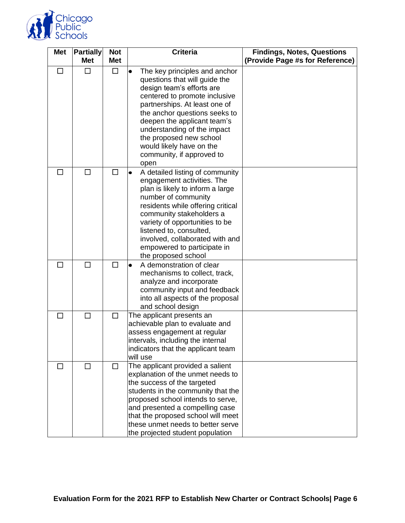

| <b>Met</b> | <b>Partially</b><br><b>Met</b> | <b>Not</b><br><b>Met</b> | <b>Criteria</b>                                                                                                                                                                                                                                                                                                                                                       | <b>Findings, Notes, Questions</b><br>(Provide Page #s for Reference) |
|------------|--------------------------------|--------------------------|-----------------------------------------------------------------------------------------------------------------------------------------------------------------------------------------------------------------------------------------------------------------------------------------------------------------------------------------------------------------------|----------------------------------------------------------------------|
| $\Box$     | $\Box$                         | □                        | The key principles and anchor<br>$\bullet$<br>questions that will guide the<br>design team's efforts are<br>centered to promote inclusive<br>partnerships. At least one of<br>the anchor questions seeks to<br>deepen the applicant team's<br>understanding of the impact<br>the proposed new school<br>would likely have on the<br>community, if approved to<br>open |                                                                      |
| $\Box$     | $\Box$                         | $\Box$                   | A detailed listing of community<br>engagement activities. The<br>plan is likely to inform a large<br>number of community<br>residents while offering critical<br>community stakeholders a<br>variety of opportunities to be<br>listened to, consulted,<br>involved, collaborated with and<br>empowered to participate in<br>the proposed school                       |                                                                      |
|            | $\Box$                         | □                        | A demonstration of clear<br>٠<br>mechanisms to collect, track,<br>analyze and incorporate<br>community input and feedback<br>into all aspects of the proposal<br>and school design                                                                                                                                                                                    |                                                                      |
| П          | $\Box$                         | $\Box$                   | The applicant presents an<br>achievable plan to evaluate and<br>assess engagement at regular<br>intervals, including the internal<br>indicators that the applicant team<br>will use                                                                                                                                                                                   |                                                                      |
| $\Box$     | $\Box$                         | $\Box$                   | The applicant provided a salient<br>explanation of the unmet needs to<br>the success of the targeted<br>students in the community that the<br>proposed school intends to serve,<br>and presented a compelling case<br>that the proposed school will meet<br>these unmet needs to better serve<br>the projected student population                                     |                                                                      |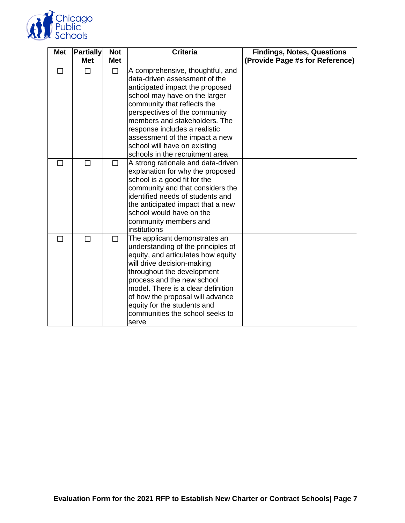

| <b>Met</b> | <b>Partially</b> | <b>Not</b> | <b>Criteria</b>                                                                                                                                                                                                                                                                                                                                                              | <b>Findings, Notes, Questions</b> |
|------------|------------------|------------|------------------------------------------------------------------------------------------------------------------------------------------------------------------------------------------------------------------------------------------------------------------------------------------------------------------------------------------------------------------------------|-----------------------------------|
|            | <b>Met</b>       | <b>Met</b> |                                                                                                                                                                                                                                                                                                                                                                              | (Provide Page #s for Reference)   |
| П          | П                | $\Box$     | A comprehensive, thoughtful, and<br>data-driven assessment of the<br>anticipated impact the proposed<br>school may have on the larger<br>community that reflects the<br>perspectives of the community<br>members and stakeholders. The<br>response includes a realistic<br>assessment of the impact a new<br>school will have on existing<br>schools in the recruitment area |                                   |
| П          | П                | □          | A strong rationale and data-driven<br>explanation for why the proposed<br>school is a good fit for the<br>community and that considers the<br>identified needs of students and<br>the anticipated impact that a new<br>school would have on the<br>community members and<br>institutions                                                                                     |                                   |
| П          | $\Box$           | $\Box$     | The applicant demonstrates an<br>understanding of the principles of<br>equity, and articulates how equity<br>will drive decision-making<br>throughout the development<br>process and the new school<br>model. There is a clear definition<br>of how the proposal will advance<br>equity for the students and<br>communities the school seeks to<br>serve                     |                                   |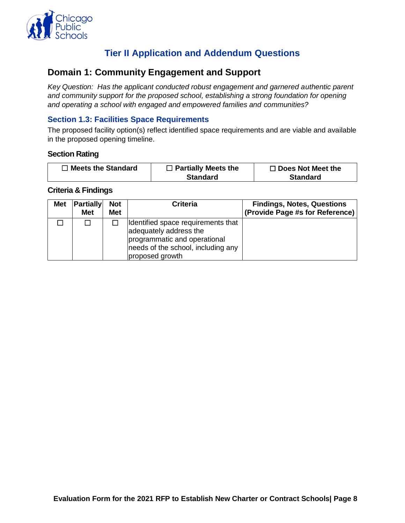

# **Tier II Application and Addendum Questions**

## <span id="page-10-1"></span><span id="page-10-0"></span>**Domain 1: Community Engagement and Support**

*Key Question: Has the applicant conducted robust engagement and garnered authentic parent and community support for the proposed school, establishing a strong foundation for opening and operating a school with engaged and empowered families and communities?*

## <span id="page-10-2"></span>**Section 1.3: Facilities Space Requirements**

The proposed facility option(s) reflect identified space requirements and are viable and available in the proposed opening timeline.

#### **Section Rating**

| $\Box$ Meets the Standard | $\Box$ Partially Meets the | $\Box$ Does Not Meet the |
|---------------------------|----------------------------|--------------------------|
|                           | <b>Standard</b>            | <b>Standard</b>          |

| <b>Met</b> | <b>Partially</b><br><b>Met</b> | <b>Not</b><br><b>Met</b> | <b>Criteria</b>                                                                                                                                       | <b>Findings, Notes, Questions</b><br>(Provide Page #s for Reference) |
|------------|--------------------------------|--------------------------|-------------------------------------------------------------------------------------------------------------------------------------------------------|----------------------------------------------------------------------|
|            |                                |                          | Identified space requirements that<br>adequately address the<br>programmatic and operational<br>needs of the school, including any<br>proposed growth |                                                                      |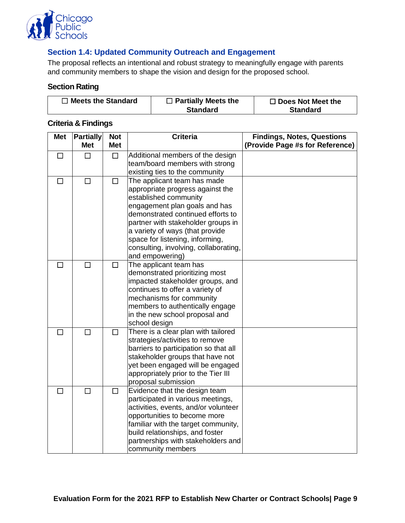

## <span id="page-11-0"></span>**Section 1.4: Updated Community Outreach and Engagement**

The proposal reflects an intentional and robust strategy to meaningfully engage with parents and community members to shape the vision and design for the proposed school.

#### **Section Rating**

| $\Box$ Meets the Standard | $\Box$ Partially Meets the | $\Box$ Does Not Meet the |
|---------------------------|----------------------------|--------------------------|
|                           | <b>Standard</b>            | <b>Standard</b>          |

| <b>Met</b> | <b>Partially</b> | <b>Not</b> | <b>Criteria</b>                                      | <b>Findings, Notes, Questions</b> |
|------------|------------------|------------|------------------------------------------------------|-----------------------------------|
|            | <b>Met</b>       | <b>Met</b> |                                                      | (Provide Page #s for Reference)   |
| $\Box$     | П                | $\Box$     | Additional members of the design                     |                                   |
|            |                  |            | team/board members with strong                       |                                   |
|            |                  |            | existing ties to the community                       |                                   |
| $\Box$     | $\Box$           | $\Box$     | The applicant team has made                          |                                   |
|            |                  |            | appropriate progress against the                     |                                   |
|            |                  |            | established community                                |                                   |
|            |                  |            | engagement plan goals and has                        |                                   |
|            |                  |            | demonstrated continued efforts to                    |                                   |
|            |                  |            | partner with stakeholder groups in                   |                                   |
|            |                  |            | a variety of ways (that provide                      |                                   |
|            |                  |            | space for listening, informing,                      |                                   |
|            |                  |            | consulting, involving, collaborating,                |                                   |
|            |                  |            | and empowering)                                      |                                   |
| П          | П                | $\Box$     | The applicant team has                               |                                   |
|            |                  |            | demonstrated prioritizing most                       |                                   |
|            |                  |            | impacted stakeholder groups, and                     |                                   |
|            |                  |            | continues to offer a variety of                      |                                   |
|            |                  |            | mechanisms for community                             |                                   |
|            |                  |            | members to authentically engage                      |                                   |
|            |                  |            | in the new school proposal and                       |                                   |
| □          | $\Box$           | $\Box$     | school design<br>There is a clear plan with tailored |                                   |
|            |                  |            | strategies/activities to remove                      |                                   |
|            |                  |            | barriers to participation so that all                |                                   |
|            |                  |            | stakeholder groups that have not                     |                                   |
|            |                  |            | yet been engaged will be engaged                     |                                   |
|            |                  |            | appropriately prior to the Tier III                  |                                   |
|            |                  |            | proposal submission                                  |                                   |
| $\Box$     | П                | □          | Evidence that the design team                        |                                   |
|            |                  |            | participated in various meetings,                    |                                   |
|            |                  |            | activities, events, and/or volunteer                 |                                   |
|            |                  |            | opportunities to become more                         |                                   |
|            |                  |            | familiar with the target community,                  |                                   |
|            |                  |            | build relationships, and foster                      |                                   |
|            |                  |            | partnerships with stakeholders and                   |                                   |
|            |                  |            | community members                                    |                                   |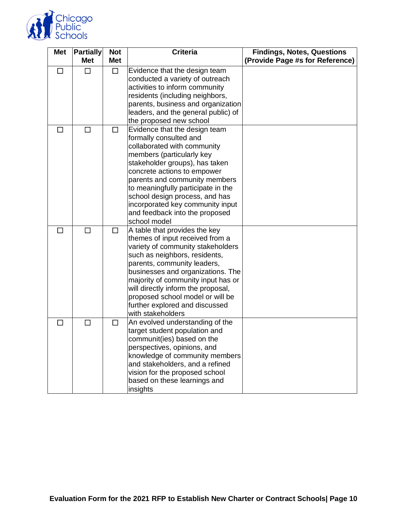

| <b>Met</b> | <b>Partially</b><br><b>Met</b> | <b>Not</b><br><b>Met</b> | <b>Criteria</b>                                                                                                                                                                                                                                                                                                                                                                     | <b>Findings, Notes, Questions</b><br>(Provide Page #s for Reference) |
|------------|--------------------------------|--------------------------|-------------------------------------------------------------------------------------------------------------------------------------------------------------------------------------------------------------------------------------------------------------------------------------------------------------------------------------------------------------------------------------|----------------------------------------------------------------------|
| $\Box$     | П                              | $\Box$                   | Evidence that the design team<br>conducted a variety of outreach<br>activities to inform community<br>residents (including neighbors,<br>parents, business and organization<br>leaders, and the general public) of<br>the proposed new school                                                                                                                                       |                                                                      |
| $\Box$     | П                              | $\Box$                   | Evidence that the design team<br>formally consulted and<br>collaborated with community<br>members (particularly key<br>stakeholder groups), has taken<br>concrete actions to empower<br>parents and community members<br>to meaningfully participate in the<br>school design process, and has<br>incorporated key community input<br>and feedback into the proposed<br>school model |                                                                      |
| П          | $\Box$                         | $\Box$                   | A table that provides the key<br>themes of input received from a<br>variety of community stakeholders<br>such as neighbors, residents,<br>parents, community leaders,<br>businesses and organizations. The<br>majority of community input has or<br>will directly inform the proposal,<br>proposed school model or will be<br>further explored and discussed<br>with stakeholders   |                                                                      |
| $\Box$     | □                              | $\Box$                   | An evolved understanding of the<br>target student population and<br>communit(ies) based on the<br>perspectives, opinions, and<br>knowledge of community members<br>and stakeholders, and a refined<br>vision for the proposed school<br>based on these learnings and<br>insights                                                                                                    |                                                                      |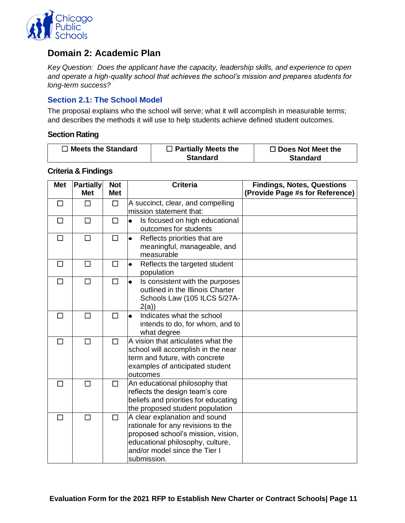

## <span id="page-13-0"></span>**Domain 2: Academic Plan**

*Key Question: Does the applicant have the capacity, leadership skills, and experience to open and operate a high-quality school that achieves the school's mission and prepares students for long-term success?*

#### <span id="page-13-1"></span>**Section 2.1: The School Model**

The proposal explains who the school will serve; what it will accomplish in measurable terms; and describes the methods it will use to help students achieve defined student outcomes.

#### **Section Rating**

| $\Box$ Meets the Standard | $\Box$ Partially Meets the | $\Box$ Does Not Meet the |
|---------------------------|----------------------------|--------------------------|
|                           | <b>Standard</b>            | <b>Standard</b>          |

| <b>Met</b> | <b>Partially</b><br><b>Met</b> | <b>Not</b><br><b>Met</b> | <b>Criteria</b>                                                                                                                                                                               | <b>Findings, Notes, Questions</b><br>(Provide Page #s for Reference) |
|------------|--------------------------------|--------------------------|-----------------------------------------------------------------------------------------------------------------------------------------------------------------------------------------------|----------------------------------------------------------------------|
| П          | П                              | □                        | A succinct, clear, and compelling<br>mission statement that:                                                                                                                                  |                                                                      |
| $\Box$     | $\Box$                         | $\Box$                   | Is focused on high educational<br>$\bullet$<br>outcomes for students                                                                                                                          |                                                                      |
| □          | $\Box$                         | $\Box$                   | Reflects priorities that are<br>$\bullet$<br>meaningful, manageable, and<br>measurable                                                                                                        |                                                                      |
| П          | П                              | П                        | Reflects the targeted student<br>$\bullet$<br>population                                                                                                                                      |                                                                      |
| П          | П                              | П                        | Is consistent with the purposes<br>$\bullet$<br>outlined in the Illinois Charter<br>Schools Law (105 ILCS 5/27A-<br>2(a)                                                                      |                                                                      |
| П          | $\Box$                         | $\Box$                   | Indicates what the school<br>$\bullet$<br>intends to do, for whom, and to<br>what degree                                                                                                      |                                                                      |
| П          | $\Box$                         | $\Box$                   | A vision that articulates what the<br>school will accomplish in the near<br>term and future, with concrete<br>examples of anticipated student<br>outcomes                                     |                                                                      |
| П          | П                              | □                        | An educational philosophy that<br>reflects the design team's core<br>beliefs and priorities for educating<br>the proposed student population                                                  |                                                                      |
| П          | П                              | $\Box$                   | A clear explanation and sound<br>rationale for any revisions to the<br>proposed school's mission, vision,<br>educational philosophy, culture,<br>and/or model since the Tier I<br>submission. |                                                                      |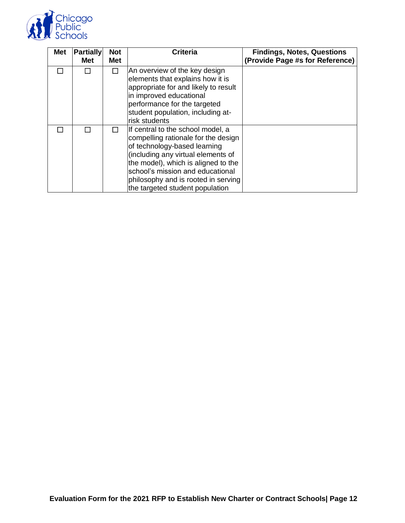

| <b>Met</b> | <b>Partially</b><br>Met | <b>Not</b><br><b>Met</b> | <b>Criteria</b>                                                                                                                                                                                                                                                                                     | <b>Findings, Notes, Questions</b><br>(Provide Page #s for Reference) |
|------------|-------------------------|--------------------------|-----------------------------------------------------------------------------------------------------------------------------------------------------------------------------------------------------------------------------------------------------------------------------------------------------|----------------------------------------------------------------------|
|            |                         | $\mathsf{L}$             | An overview of the key design<br>elements that explains how it is<br>appropriate for and likely to result<br>in improved educational<br>performance for the targeted<br>student population, including at-<br>risk students                                                                          |                                                                      |
|            |                         | $\mathsf{L}$             | If central to the school model, a<br>compelling rationale for the design<br>of technology-based learning<br>(including any virtual elements of<br>the model), which is aligned to the<br>school's mission and educational<br>philosophy and is rooted in serving<br>the targeted student population |                                                                      |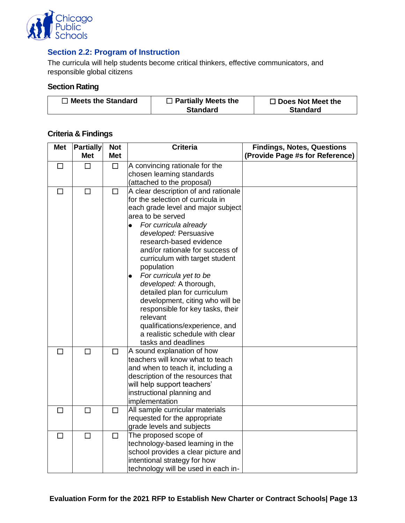

## <span id="page-15-0"></span>**Section 2.2: Program of Instruction**

The curricula will help students become critical thinkers, effective communicators, and responsible global citizens

#### **Section Rating**

| $\Box$ Meets the Standard | $\Box$ Partially Meets the | $\Box$ Does Not Meet the |
|---------------------------|----------------------------|--------------------------|
|                           | <b>Standard</b>            | <b>Standard</b>          |

| <b>Met</b> | <b>Partially</b><br><b>Met</b> | <b>Not</b><br><b>Met</b> | <b>Criteria</b>                      | <b>Findings, Notes, Questions</b> |
|------------|--------------------------------|--------------------------|--------------------------------------|-----------------------------------|
|            |                                |                          |                                      | (Provide Page #s for Reference)   |
| $\Box$     | $\Box$                         | □                        | A convincing rationale for the       |                                   |
|            |                                |                          | chosen learning standards            |                                   |
|            |                                |                          | (attached to the proposal)           |                                   |
| $\Box$     | $\Box$                         | $\Box$                   | A clear description of and rationale |                                   |
|            |                                |                          | for the selection of curricula in    |                                   |
|            |                                |                          | each grade level and major subject   |                                   |
|            |                                |                          | area to be served                    |                                   |
|            |                                |                          | For curricula already                |                                   |
|            |                                |                          | developed: Persuasive                |                                   |
|            |                                |                          | research-based evidence              |                                   |
|            |                                |                          | and/or rationale for success of      |                                   |
|            |                                |                          | curriculum with target student       |                                   |
|            |                                |                          | population                           |                                   |
|            |                                |                          | For curricula yet to be<br>$\bullet$ |                                   |
|            |                                |                          | developed: A thorough,               |                                   |
|            |                                |                          | detailed plan for curriculum         |                                   |
|            |                                |                          | development, citing who will be      |                                   |
|            |                                |                          | responsible for key tasks, their     |                                   |
|            |                                |                          | relevant                             |                                   |
|            |                                |                          | qualifications/experience, and       |                                   |
|            |                                |                          | a realistic schedule with clear      |                                   |
|            |                                |                          | tasks and deadlines                  |                                   |
| П          | $\Box$                         | □                        | A sound explanation of how           |                                   |
|            |                                |                          | teachers will know what to teach     |                                   |
|            |                                |                          | and when to teach it, including a    |                                   |
|            |                                |                          | description of the resources that    |                                   |
|            |                                |                          | will help support teachers'          |                                   |
|            |                                |                          | instructional planning and           |                                   |
|            |                                |                          | implementation                       |                                   |
| □          | П                              | $\Box$                   | All sample curricular materials      |                                   |
|            |                                |                          | requested for the appropriate        |                                   |
|            |                                |                          | grade levels and subjects            |                                   |
| $\Box$     | $\Box$                         | $\Box$                   | The proposed scope of                |                                   |
|            |                                |                          | technology-based learning in the     |                                   |
|            |                                |                          | school provides a clear picture and  |                                   |
|            |                                |                          | intentional strategy for how         |                                   |
|            |                                |                          | technology will be used in each in-  |                                   |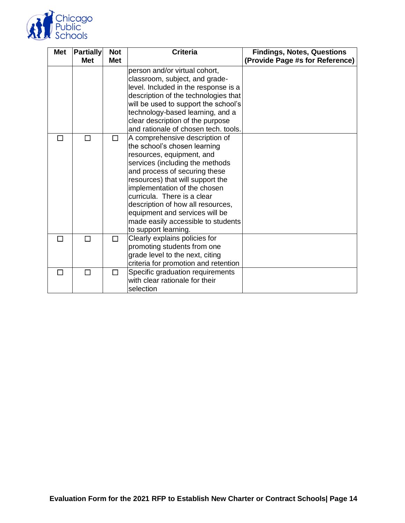

| <b>Met</b> | <b>Partially</b> | <b>Not</b> | <b>Criteria</b>                                                                                                                                                                                                                                                                                                                                                                                                                                                                                                | <b>Findings, Notes, Questions</b> |
|------------|------------------|------------|----------------------------------------------------------------------------------------------------------------------------------------------------------------------------------------------------------------------------------------------------------------------------------------------------------------------------------------------------------------------------------------------------------------------------------------------------------------------------------------------------------------|-----------------------------------|
|            | <b>Met</b>       | <b>Met</b> |                                                                                                                                                                                                                                                                                                                                                                                                                                                                                                                | (Provide Page #s for Reference)   |
| П          | П                | □          | person and/or virtual cohort,<br>classroom, subject, and grade-<br>level. Included in the response is a<br>description of the technologies that<br>will be used to support the school's<br>technology-based learning, and a<br>clear description of the purpose<br>and rationale of chosen tech. tools.<br>A comprehensive description of<br>the school's chosen learning<br>resources, equipment, and<br>services (including the methods<br>and process of securing these<br>resources) that will support the |                                   |
|            |                  |            | implementation of the chosen<br>curricula. There is a clear<br>description of how all resources,<br>equipment and services will be<br>made easily accessible to students<br>to support learning.                                                                                                                                                                                                                                                                                                               |                                   |
|            | П                | П          | Clearly explains policies for<br>promoting students from one<br>grade level to the next, citing<br>criteria for promotion and retention                                                                                                                                                                                                                                                                                                                                                                        |                                   |
|            | П                | П          | Specific graduation requirements<br>with clear rationale for their<br>selection                                                                                                                                                                                                                                                                                                                                                                                                                                |                                   |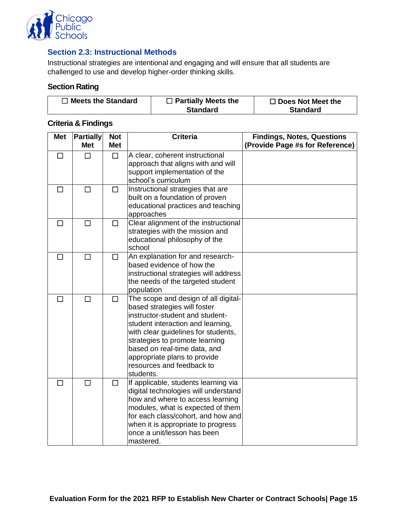

## <span id="page-17-0"></span>**Section 2.3: Instructional Methods**

Instructional strategies are intentional and engaging and will ensure that all students are challenged to use and develop higher-order thinking skills.

#### **Section Rating**

| $\Box$ Meets the Standard | $\Box$ Partially Meets the | $\Box$ Does Not Meet the |
|---------------------------|----------------------------|--------------------------|
|                           | <b>Standard</b>            | <b>Standard</b>          |

| <b>Met</b> | <b>Partially</b><br><b>Met</b> | <b>Not</b><br><b>Met</b> | <b>Criteria</b>                                                                                                                                                                                                                                                                                                                 | <b>Findings, Notes, Questions</b><br>(Provide Page #s for Reference) |
|------------|--------------------------------|--------------------------|---------------------------------------------------------------------------------------------------------------------------------------------------------------------------------------------------------------------------------------------------------------------------------------------------------------------------------|----------------------------------------------------------------------|
| □          | П                              | $\Box$                   | A clear, coherent instructional<br>approach that aligns with and will<br>support implementation of the<br>school's curriculum                                                                                                                                                                                                   |                                                                      |
| П          | $\Box$                         | □                        | Instructional strategies that are<br>built on a foundation of proven<br>educational practices and teaching<br>approaches                                                                                                                                                                                                        |                                                                      |
| □          | $\Box$                         | $\Box$                   | Clear alignment of the instructional<br>strategies with the mission and<br>educational philosophy of the<br>school                                                                                                                                                                                                              |                                                                      |
| П          | $\Box$                         | $\Box$                   | An explanation for and research-<br>based evidence of how the<br>instructional strategies will address<br>the needs of the targeted student<br>population                                                                                                                                                                       |                                                                      |
| $\Box$     | □                              | $\Box$                   | The scope and design of all digital-<br>based strategies will foster<br>instructor-student and student-<br>student interaction and learning,<br>with clear guidelines for students,<br>strategies to promote learning<br>based on real-time data, and<br>appropriate plans to provide<br>resources and feedback to<br>students. |                                                                      |
| $\Box$     | $\Box$                         | $\Box$                   | If applicable, students learning via<br>digital technologies will understand<br>how and where to access learning<br>modules, what is expected of them<br>for each class/cohort, and how and<br>when it is appropriate to progress<br>once a unit/lesson has been<br>mastered.                                                   |                                                                      |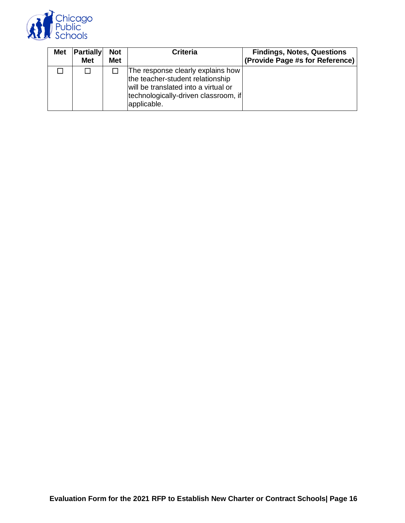

| <b>Met</b> | <b>Partially</b><br><b>Met</b> | <b>Not</b><br><b>Met</b> | <b>Criteria</b>                                                                                                                                                      | <b>Findings, Notes, Questions</b><br>(Provide Page #s for Reference) |
|------------|--------------------------------|--------------------------|----------------------------------------------------------------------------------------------------------------------------------------------------------------------|----------------------------------------------------------------------|
|            |                                |                          | The response clearly explains how<br>the teacher-student relationship<br>will be translated into a virtual or<br>technologically-driven classroom, if<br>applicable. |                                                                      |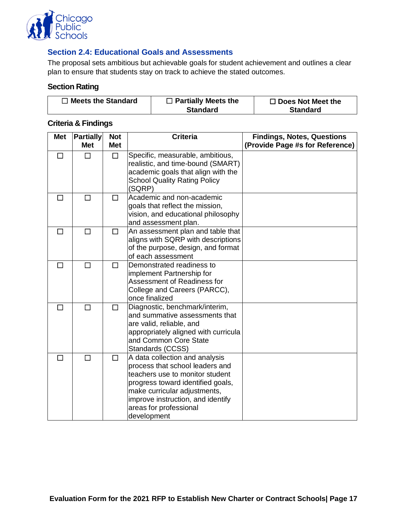

## <span id="page-19-0"></span>**Section 2.4: Educational Goals and Assessments**

The proposal sets ambitious but achievable goals for student achievement and outlines a clear plan to ensure that students stay on track to achieve the stated outcomes.

#### **Section Rating**

| $\Box$ Meets the Standard | $\Box$ Partially Meets the | $\Box$ Does Not Meet the |
|---------------------------|----------------------------|--------------------------|
|                           | <b>Standard</b>            | <b>Standard</b>          |

| <b>Met</b> | <b>Partially</b><br><b>Met</b> | <b>Not</b><br><b>Met</b> | <b>Criteria</b>                                                                                                                                                                                                                                         | <b>Findings, Notes, Questions</b><br>(Provide Page #s for Reference) |
|------------|--------------------------------|--------------------------|---------------------------------------------------------------------------------------------------------------------------------------------------------------------------------------------------------------------------------------------------------|----------------------------------------------------------------------|
| П          | П                              | $\Box$                   | Specific, measurable, ambitious,<br>realistic, and time-bound (SMART)<br>academic goals that align with the<br><b>School Quality Rating Policy</b><br>(SQRP)                                                                                            |                                                                      |
| П          | П                              | П                        | Academic and non-academic<br>goals that reflect the mission,<br>vision, and educational philosophy<br>and assessment plan.                                                                                                                              |                                                                      |
| □          | □                              | $\Box$                   | An assessment plan and table that<br>aligns with SQRP with descriptions<br>of the purpose, design, and format<br>of each assessment                                                                                                                     |                                                                      |
| Ш          | П                              | П                        | Demonstrated readiness to<br>implement Partnership for<br>Assessment of Readiness for<br>College and Careers (PARCC),<br>once finalized                                                                                                                 |                                                                      |
| П          | П                              | □                        | Diagnostic, benchmark/interim,<br>and summative assessments that<br>are valid, reliable, and<br>appropriately aligned with curricula<br>and Common Core State<br>Standards (CCSS)                                                                       |                                                                      |
| ш          | П                              | $\Box$                   | A data collection and analysis<br>process that school leaders and<br>teachers use to monitor student<br>progress toward identified goals,<br>make curricular adjustments,<br>improve instruction, and identify<br>areas for professional<br>development |                                                                      |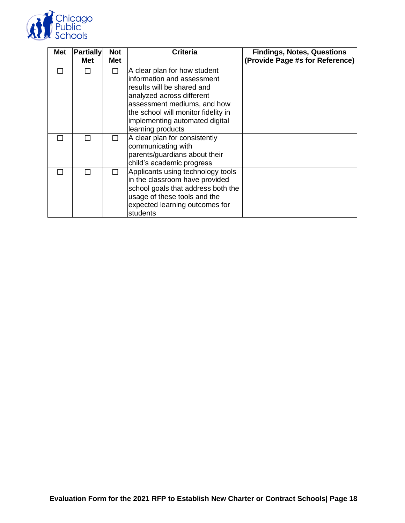

| <b>Met</b> | <b>Partially</b><br>Met | <b>Not</b><br><b>Met</b> | Criteria                                                                                                                                                                                                                                           | <b>Findings, Notes, Questions</b><br>(Provide Page #s for Reference) |
|------------|-------------------------|--------------------------|----------------------------------------------------------------------------------------------------------------------------------------------------------------------------------------------------------------------------------------------------|----------------------------------------------------------------------|
|            |                         |                          | A clear plan for how student<br>information and assessment<br>results will be shared and<br>analyzed across different<br>assessment mediums, and how<br>the school will monitor fidelity in<br>implementing automated digital<br>learning products |                                                                      |
|            |                         | П                        | A clear plan for consistently<br>communicating with<br>parents/guardians about their<br>child's academic progress                                                                                                                                  |                                                                      |
|            |                         | П                        | Applicants using technology tools<br>in the classroom have provided<br>school goals that address both the<br>usage of these tools and the<br>expected learning outcomes for<br>students                                                            |                                                                      |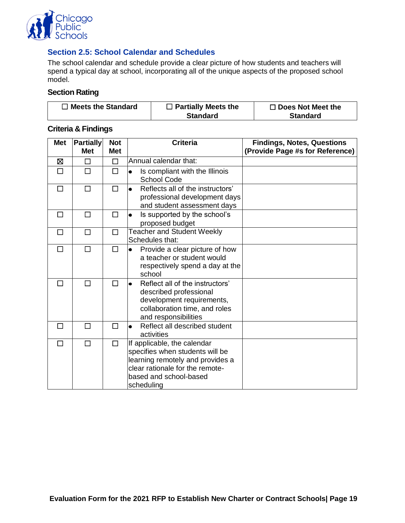

## <span id="page-21-0"></span>**Section 2.5: School Calendar and Schedules**

The school calendar and schedule provide a clear picture of how students and teachers will spend a typical day at school, incorporating all of the unique aspects of the proposed school model.

## **Section Rating**

| $\Box$ Meets the Standard | $\Box$ Partially Meets the | $\Box$ Does Not Meet the |
|---------------------------|----------------------------|--------------------------|
|                           | <b>Standard</b>            | <b>Standard</b>          |

| <b>Met</b>   | <b>Partially</b><br><b>Met</b> | <b>Not</b><br><b>Met</b> | <b>Criteria</b>                                                                                                                                                               | <b>Findings, Notes, Questions</b><br>(Provide Page #s for Reference) |
|--------------|--------------------------------|--------------------------|-------------------------------------------------------------------------------------------------------------------------------------------------------------------------------|----------------------------------------------------------------------|
| 区            | П                              | П                        | Annual calendar that:                                                                                                                                                         |                                                                      |
| П            | П                              | П                        | Is compliant with the Illinois<br>$\bullet$<br><b>School Code</b>                                                                                                             |                                                                      |
| П            | П                              | $\Box$                   | Reflects all of the instructors'<br>$\bullet$<br>professional development days<br>and student assessment days                                                                 |                                                                      |
| П            | П                              | П                        | Is supported by the school's<br>proposed budget                                                                                                                               |                                                                      |
| $\mathbf{I}$ | П                              | п                        | <b>Teacher and Student Weekly</b><br>Schedules that:                                                                                                                          |                                                                      |
| П            | П                              | $\Box$                   | Provide a clear picture of how<br>$\bullet$<br>a teacher or student would<br>respectively spend a day at the<br>school                                                        |                                                                      |
|              | П                              | $\Box$                   | Reflect all of the instructors'<br>$\bullet$<br>described professional<br>development requirements,<br>collaboration time, and roles<br>and responsibilities                  |                                                                      |
| Н            | П                              | П                        | Reflect all described student<br>$\bullet$<br>activities                                                                                                                      |                                                                      |
| П            | П                              | $\Box$                   | If applicable, the calendar<br>specifies when students will be<br>learning remotely and provides a<br>clear rationale for the remote-<br>based and school-based<br>scheduling |                                                                      |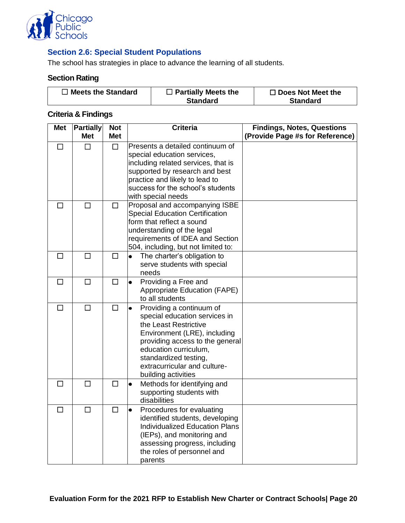

## <span id="page-22-0"></span>**Section 2.6: Special Student Populations**

The school has strategies in place to advance the learning of all students.

## **Section Rating**

| $\Box$ Meets the Standard | $\Box$ Partially Meets the | $\Box$ Does Not Meet the |
|---------------------------|----------------------------|--------------------------|
|                           | <b>Standard</b>            | <b>Standard</b>          |

| <b>Met</b> | <b>Partially</b><br><b>Met</b> | <b>Not</b><br><b>Met</b> | <b>Criteria</b>                                                                                                                                                                                                                                                             | <b>Findings, Notes, Questions</b><br>(Provide Page #s for Reference) |
|------------|--------------------------------|--------------------------|-----------------------------------------------------------------------------------------------------------------------------------------------------------------------------------------------------------------------------------------------------------------------------|----------------------------------------------------------------------|
| П          | П                              | $\Box$                   | Presents a detailed continuum of<br>special education services,<br>including related services, that is<br>supported by research and best<br>practice and likely to lead to<br>success for the school's students<br>with special needs                                       |                                                                      |
| U          | П                              | □                        | Proposal and accompanying ISBE<br><b>Special Education Certification</b><br>form that reflect a sound<br>understanding of the legal<br>requirements of IDEA and Section<br>504, including, but not limited to:                                                              |                                                                      |
| $\Box$     | □                              | □                        | The charter's obligation to<br>serve students with special<br>needs                                                                                                                                                                                                         |                                                                      |
| $\Box$     | $\Box$                         | $\Box$                   | Providing a Free and<br>$\bullet$<br><b>Appropriate Education (FAPE)</b><br>to all students                                                                                                                                                                                 |                                                                      |
| □          | $\Box$                         | $\Box$                   | Providing a continuum of<br>$\bullet$<br>special education services in<br>the Least Restrictive<br>Environment (LRE), including<br>providing access to the general<br>education curriculum,<br>standardized testing,<br>extracurricular and culture-<br>building activities |                                                                      |
| П          | П                              | $\Box$                   | Methods for identifying and<br>$\bullet$<br>supporting students with<br>disabilities                                                                                                                                                                                        |                                                                      |
| $\Box$     | $\Box$                         | $\Box$                   | $\bullet$<br>Procedures for evaluating<br>identified students, developing<br><b>Individualized Education Plans</b><br>(IEPs), and monitoring and<br>assessing progress, including<br>the roles of personnel and<br>parents                                                  |                                                                      |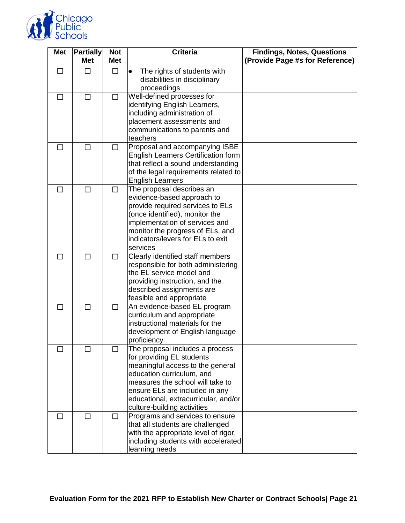

| <b>Met</b> | <b>Partially</b><br><b>Met</b> | <b>Not</b><br><b>Met</b> | <b>Criteria</b>                                                                                                                                                                                                                                                            | <b>Findings, Notes, Questions</b><br>(Provide Page #s for Reference) |
|------------|--------------------------------|--------------------------|----------------------------------------------------------------------------------------------------------------------------------------------------------------------------------------------------------------------------------------------------------------------------|----------------------------------------------------------------------|
| ΙI         | П                              | □                        | The rights of students with<br>$\bullet$<br>disabilities in disciplinary<br>proceedings                                                                                                                                                                                    |                                                                      |
| □          | $\Box$                         | □                        | Well-defined processes for<br>identifying English Learners,<br>including administration of<br>placement assessments and<br>communications to parents and<br>teachers                                                                                                       |                                                                      |
| □          | $\Box$                         | □                        | Proposal and accompanying ISBE<br><b>English Learners Certification form</b><br>that reflect a sound understanding<br>of the legal requirements related to<br><b>English Learners</b>                                                                                      |                                                                      |
| $\Box$     | $\Box$                         | □                        | The proposal describes an<br>evidence-based approach to<br>provide required services to ELs<br>(once identified), monitor the<br>implementation of services and<br>monitor the progress of ELs, and<br>indicators/levers for ELs to exit<br>services                       |                                                                      |
| П          | $\Box$                         | □                        | Clearly identified staff members<br>responsible for both administering<br>the EL service model and<br>providing instruction, and the<br>described assignments are<br>feasible and appropriate                                                                              |                                                                      |
| $\Box$     | $\Box$                         | □                        | An evidence-based EL program<br>curriculum and appropriate<br>instructional materials for the<br>development of English language<br>proficiency                                                                                                                            |                                                                      |
|            | $\Box$                         | ப                        | The proposal includes a process<br>for providing EL students<br>meaningful access to the general<br>education curriculum, and<br>measures the school will take to<br>ensure ELs are included in any<br>educational, extracurricular, and/or<br>culture-building activities |                                                                      |
| ΙI         | □                              | □                        | Programs and services to ensure<br>that all students are challenged<br>with the appropriate level of rigor,<br>including students with accelerated<br>learning needs                                                                                                       |                                                                      |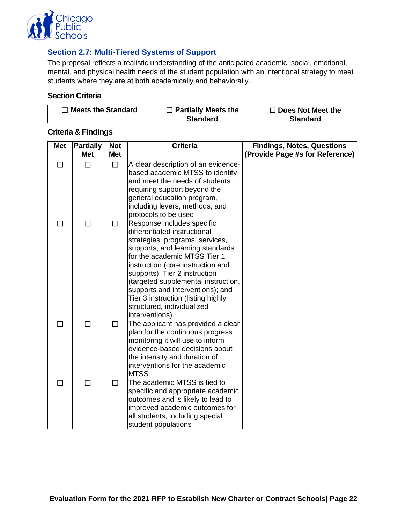

## <span id="page-24-0"></span>**Section 2.7: Multi-Tiered Systems of Support**

The proposal reflects a realistic understanding of the anticipated academic, social, emotional, mental, and physical health needs of the student population with an intentional strategy to meet students where they are at both academically and behaviorally.

#### **Section Criteria**

| $\Box$ Meets the Standard | $\Box$ Partially Meets the | $\Box$ Does Not Meet the |
|---------------------------|----------------------------|--------------------------|
|                           | <b>Standard</b>            | <b>Standard</b>          |

| <b>Met</b> | <b>Partially</b> | <b>Not</b> | <b>Criteria</b>                                                                                                                                                                                                                                                                                                                                                                                          | <b>Findings, Notes, Questions</b> |
|------------|------------------|------------|----------------------------------------------------------------------------------------------------------------------------------------------------------------------------------------------------------------------------------------------------------------------------------------------------------------------------------------------------------------------------------------------------------|-----------------------------------|
|            | <b>Met</b>       | <b>Met</b> |                                                                                                                                                                                                                                                                                                                                                                                                          | (Provide Page #s for Reference)   |
| П          | П                | $\Box$     | A clear description of an evidence-<br>based academic MTSS to identify<br>and meet the needs of students<br>requiring support beyond the<br>general education program,<br>including levers, methods, and<br>protocols to be used                                                                                                                                                                         |                                   |
| П          | $\Box$           | □          | Response includes specific<br>differentiated instructional<br>strategies, programs, services,<br>supports, and learning standards<br>for the academic MTSS Tier 1<br>instruction (core instruction and<br>supports); Tier 2 instruction<br>(targeted supplemental instruction,<br>supports and interventions); and<br>Tier 3 instruction (listing highly<br>structured, individualized<br>interventions) |                                   |
| П          | П                | $\Box$     | The applicant has provided a clear<br>plan for the continuous progress<br>monitoring it will use to inform<br>evidence-based decisions about<br>the intensity and duration of<br>interventions for the academic<br><b>MTSS</b>                                                                                                                                                                           |                                   |
| П          | П                | $\Box$     | The academic MTSS is tied to<br>specific and appropriate academic<br>outcomes and is likely to lead to<br>improved academic outcomes for<br>all students, including special<br>student populations                                                                                                                                                                                                       |                                   |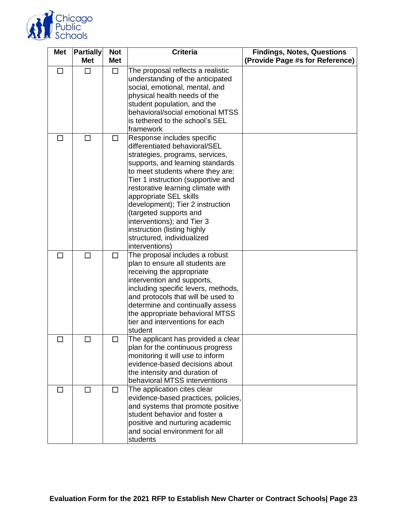

| <b>Met</b> | <b>Partially</b><br><b>Met</b> | <b>Not</b><br><b>Met</b> | <b>Criteria</b>                                                      | <b>Findings, Notes, Questions</b><br>(Provide Page #s for Reference) |
|------------|--------------------------------|--------------------------|----------------------------------------------------------------------|----------------------------------------------------------------------|
|            | П                              | $\Box$                   | The proposal reflects a realistic                                    |                                                                      |
|            |                                |                          | understanding of the anticipated                                     |                                                                      |
|            |                                |                          | social, emotional, mental, and                                       |                                                                      |
|            |                                |                          | physical health needs of the                                         |                                                                      |
|            |                                |                          | student population, and the                                          |                                                                      |
|            |                                |                          | behavioral/social emotional MTSS                                     |                                                                      |
|            |                                |                          | is tethered to the school's SEL                                      |                                                                      |
|            |                                |                          | framework                                                            |                                                                      |
|            | П                              | □                        | Response includes specific                                           |                                                                      |
|            |                                |                          | differentiated behavioral/SEL                                        |                                                                      |
|            |                                |                          | strategies, programs, services,<br>supports, and learning standards  |                                                                      |
|            |                                |                          | to meet students where they are:                                     |                                                                      |
|            |                                |                          | Tier 1 instruction (supportive and                                   |                                                                      |
|            |                                |                          | restorative learning climate with                                    |                                                                      |
|            |                                |                          | appropriate SEL skills                                               |                                                                      |
|            |                                |                          | development); Tier 2 instruction                                     |                                                                      |
|            |                                |                          | (targeted supports and                                               |                                                                      |
|            |                                |                          | interventions); and Tier 3                                           |                                                                      |
|            |                                |                          | instruction (listing highly                                          |                                                                      |
|            |                                |                          | structured, individualized<br>interventions)                         |                                                                      |
| П          | □                              |                          | The proposal includes a robust                                       |                                                                      |
|            |                                | □                        | plan to ensure all students are                                      |                                                                      |
|            |                                |                          | receiving the appropriate                                            |                                                                      |
|            |                                |                          | intervention and supports,                                           |                                                                      |
|            |                                |                          | including specific levers, methods,                                  |                                                                      |
|            |                                |                          | and protocols that will be used to                                   |                                                                      |
|            |                                |                          | determine and continually assess                                     |                                                                      |
|            |                                |                          | the appropriate behavioral MTSS                                      |                                                                      |
|            |                                |                          | tier and interventions for each                                      |                                                                      |
|            |                                |                          | student                                                              |                                                                      |
| П          | $\Box$                         | □                        | The applicant has provided a clear                                   |                                                                      |
|            |                                |                          | plan for the continuous progress<br>monitoring it will use to inform |                                                                      |
|            |                                |                          | evidence-based decisions about                                       |                                                                      |
|            |                                |                          | the intensity and duration of                                        |                                                                      |
|            |                                |                          | behavioral MTSS interventions                                        |                                                                      |
| H          | □                              | □                        | The application cites clear                                          |                                                                      |
|            |                                |                          | evidence-based practices, policies,                                  |                                                                      |
|            |                                |                          | and systems that promote positive                                    |                                                                      |
|            |                                |                          | student behavior and foster a                                        |                                                                      |
|            |                                |                          | positive and nurturing academic                                      |                                                                      |
|            |                                |                          | and social environment for all                                       |                                                                      |
|            |                                |                          | students                                                             |                                                                      |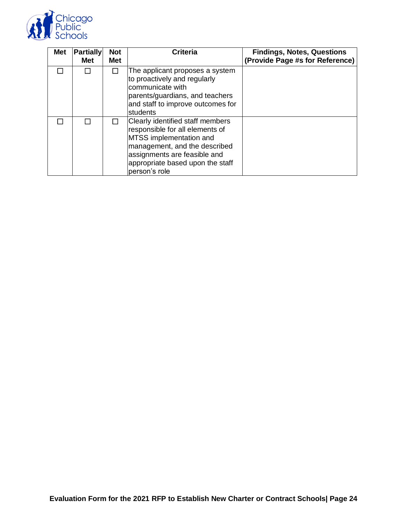

| <b>Met</b> | <b>Partially</b><br><b>Met</b> | <b>Not</b><br><b>Met</b> | <b>Criteria</b>                                                                                                                                                                                                      | <b>Findings, Notes, Questions</b><br>(Provide Page #s for Reference) |
|------------|--------------------------------|--------------------------|----------------------------------------------------------------------------------------------------------------------------------------------------------------------------------------------------------------------|----------------------------------------------------------------------|
|            |                                |                          | The applicant proposes a system<br>to proactively and regularly<br>communicate with<br>parents/guardians, and teachers<br>and staff to improve outcomes for<br>students                                              |                                                                      |
|            |                                |                          | Clearly identified staff members<br>responsible for all elements of<br>MTSS implementation and<br>management, and the described<br>assignments are feasible and<br>appropriate based upon the staff<br>person's role |                                                                      |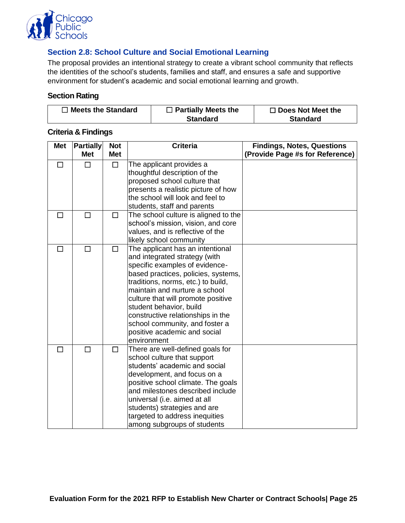

## <span id="page-27-0"></span>**Section 2.8: School Culture and Social Emotional Learning**

The proposal provides an intentional strategy to create a vibrant school community that reflects the identities of the school's students, families and staff, and ensures a safe and supportive environment for student's academic and social emotional learning and growth.

#### **Section Rating**

| $\Box$ Meets the Standard | $\Box$ Partially Meets the | $\Box$ Does Not Meet the |
|---------------------------|----------------------------|--------------------------|
|                           | <b>Standard</b>            | <b>Standard</b>          |

| <b>Met</b> | <b>Partially</b> | <b>Not</b> | <b>Criteria</b>                                                                                                                                                                                                                                                                                                                                                                                          | <b>Findings, Notes, Questions</b> |
|------------|------------------|------------|----------------------------------------------------------------------------------------------------------------------------------------------------------------------------------------------------------------------------------------------------------------------------------------------------------------------------------------------------------------------------------------------------------|-----------------------------------|
|            | <b>Met</b>       | <b>Met</b> |                                                                                                                                                                                                                                                                                                                                                                                                          | (Provide Page #s for Reference)   |
| $\Box$     | $\Box$           | $\Box$     | The applicant provides a<br>thoughtful description of the<br>proposed school culture that<br>presents a realistic picture of how<br>the school will look and feel to<br>students, staff and parents                                                                                                                                                                                                      |                                   |
| ΙI         | $\Box$           | $\Box$     | The school culture is aligned to the<br>school's mission, vision, and core<br>values, and is reflective of the<br>likely school community                                                                                                                                                                                                                                                                |                                   |
| П          | $\Box$           | $\Box$     | The applicant has an intentional<br>and integrated strategy (with<br>specific examples of evidence-<br>based practices, policies, systems,<br>traditions, norms, etc.) to build,<br>maintain and nurture a school<br>culture that will promote positive<br>student behavior, build<br>constructive relationships in the<br>school community, and foster a<br>positive academic and social<br>environment |                                   |
| <b>I</b>   | $\Box$           | □          | There are well-defined goals for<br>school culture that support<br>students' academic and social<br>development, and focus on a<br>positive school climate. The goals<br>and milestones described include<br>universal (i.e. aimed at all<br>students) strategies and are<br>targeted to address inequities<br>among subgroups of students                                                               |                                   |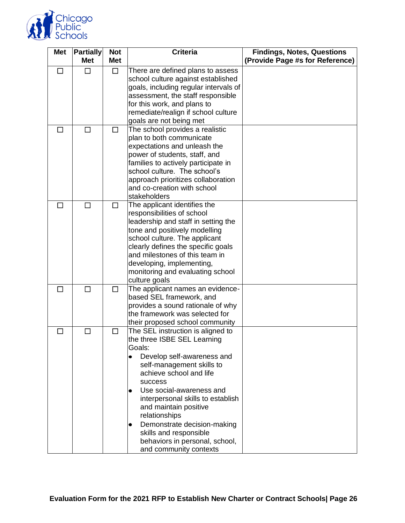

| <b>Met</b> | <b>Partially</b> | <b>Not</b> | <b>Criteria</b>                                                                                                                                                                                                                                                                                                                                                                                             | <b>Findings, Notes, Questions</b> |
|------------|------------------|------------|-------------------------------------------------------------------------------------------------------------------------------------------------------------------------------------------------------------------------------------------------------------------------------------------------------------------------------------------------------------------------------------------------------------|-----------------------------------|
|            | <b>Met</b>       | <b>Met</b> |                                                                                                                                                                                                                                                                                                                                                                                                             | (Provide Page #s for Reference)   |
|            |                  | □          | There are defined plans to assess<br>school culture against established<br>goals, including regular intervals of<br>assessment, the staff responsible<br>for this work, and plans to<br>remediate/realign if school culture<br>goals are not being met                                                                                                                                                      |                                   |
| П          | П                | □          | The school provides a realistic<br>plan to both communicate<br>expectations and unleash the<br>power of students, staff, and<br>families to actively participate in<br>school culture. The school's<br>approach prioritizes collaboration<br>and co-creation with school<br>stakeholders                                                                                                                    |                                   |
|            | П                | П          | The applicant identifies the<br>responsibilities of school<br>leadership and staff in setting the<br>tone and positively modelling<br>school culture. The applicant<br>clearly defines the specific goals<br>and milestones of this team in<br>developing, implementing,<br>monitoring and evaluating school<br>culture goals                                                                               |                                   |
| ΙI         | П                | □          | The applicant names an evidence-<br>based SEL framework, and<br>provides a sound rationale of why<br>the framework was selected for<br>their proposed school community                                                                                                                                                                                                                                      |                                   |
| П          | $\Box$           | □          | The SEL instruction is aligned to<br>the three ISBE SEL Learning<br>Goals:<br>Develop self-awareness and<br>self-management skills to<br>achieve school and life<br>success<br>Use social-awareness and<br>interpersonal skills to establish<br>and maintain positive<br>relationships<br>Demonstrate decision-making<br>skills and responsible<br>behaviors in personal, school,<br>and community contexts |                                   |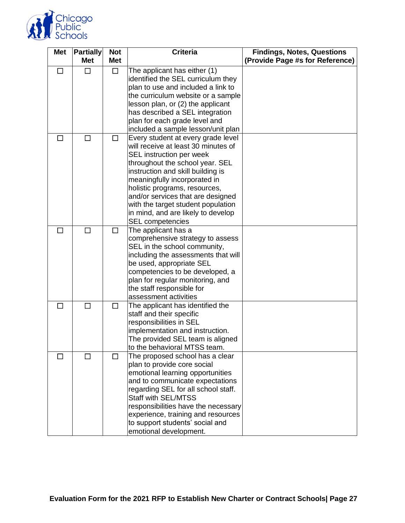![](_page_29_Picture_0.jpeg)

| <b>Met</b>   | <b>Partially</b><br><b>Met</b> | <b>Not</b><br><b>Met</b> | <b>Criteria</b>                                                     | <b>Findings, Notes, Questions</b><br>(Provide Page #s for Reference) |
|--------------|--------------------------------|--------------------------|---------------------------------------------------------------------|----------------------------------------------------------------------|
|              |                                |                          |                                                                     |                                                                      |
|              |                                | $\Box$                   | The applicant has either (1)<br>identified the SEL curriculum they  |                                                                      |
|              |                                |                          | plan to use and included a link to                                  |                                                                      |
|              |                                |                          | the curriculum website or a sample                                  |                                                                      |
|              |                                |                          | lesson plan, or (2) the applicant                                   |                                                                      |
|              |                                |                          | has described a SEL integration                                     |                                                                      |
|              |                                |                          | plan for each grade level and                                       |                                                                      |
|              |                                |                          | included a sample lesson/unit plan                                  |                                                                      |
| П            | $\Box$                         | □                        | Every student at every grade level                                  |                                                                      |
|              |                                |                          | will receive at least 30 minutes of                                 |                                                                      |
|              |                                |                          | SEL instruction per week                                            |                                                                      |
|              |                                |                          | throughout the school year. SEL                                     |                                                                      |
|              |                                |                          | instruction and skill building is                                   |                                                                      |
|              |                                |                          | meaningfully incorporated in<br>holistic programs, resources,       |                                                                      |
|              |                                |                          | and/or services that are designed                                   |                                                                      |
|              |                                |                          | with the target student population                                  |                                                                      |
|              |                                |                          | in mind, and are likely to develop                                  |                                                                      |
|              |                                |                          | <b>SEL</b> competencies                                             |                                                                      |
| $\mathsf{L}$ | □                              | $\Box$                   | The applicant has a                                                 |                                                                      |
|              |                                |                          | comprehensive strategy to assess                                    |                                                                      |
|              |                                |                          | SEL in the school community,                                        |                                                                      |
|              |                                |                          | including the assessments that will                                 |                                                                      |
|              |                                |                          | be used, appropriate SEL                                            |                                                                      |
|              |                                |                          | competencies to be developed, a                                     |                                                                      |
|              |                                |                          | plan for regular monitoring, and                                    |                                                                      |
|              |                                |                          | the staff responsible for                                           |                                                                      |
|              |                                |                          | assessment activities                                               |                                                                      |
| П            | $\Box$                         | □                        | The applicant has identified the                                    |                                                                      |
|              |                                |                          | staff and their specific                                            |                                                                      |
|              |                                |                          | responsibilities in SEL                                             |                                                                      |
|              |                                |                          | implementation and instruction.<br>The provided SEL team is aligned |                                                                      |
|              |                                |                          | to the behavioral MTSS team.                                        |                                                                      |
| ΙI           | П                              | □                        | The proposed school has a clear                                     |                                                                      |
|              |                                |                          | plan to provide core social                                         |                                                                      |
|              |                                |                          | emotional learning opportunities                                    |                                                                      |
|              |                                |                          | and to communicate expectations                                     |                                                                      |
|              |                                |                          | regarding SEL for all school staff.                                 |                                                                      |
|              |                                |                          | <b>Staff with SEL/MTSS</b>                                          |                                                                      |
|              |                                |                          | responsibilities have the necessary                                 |                                                                      |
|              |                                |                          | experience, training and resources                                  |                                                                      |
|              |                                |                          | to support students' social and                                     |                                                                      |
|              |                                |                          | emotional development.                                              |                                                                      |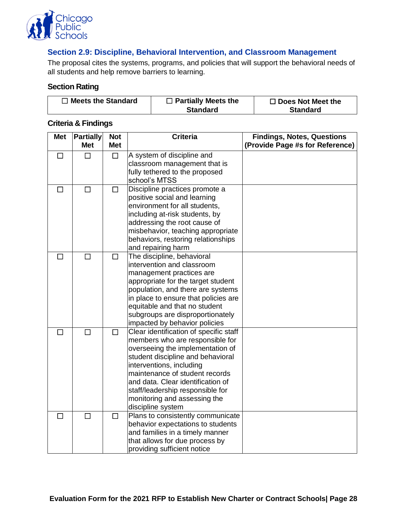![](_page_30_Picture_0.jpeg)

## <span id="page-30-0"></span>**Section 2.9: Discipline, Behavioral Intervention, and Classroom Management**

The proposal cites the systems, programs, and policies that will support the behavioral needs of all students and help remove barriers to learning.

### **Section Rating**

| $\Box$ Meets the Standard | $\Box$ Partially Meets the | $\Box$ Does Not Meet the |
|---------------------------|----------------------------|--------------------------|
|                           | <b>Standard</b>            | <b>Standard</b>          |

| <b>Met</b> | Partially  | <b>Not</b> | <b>Criteria</b>                        | <b>Findings, Notes, Questions</b> |
|------------|------------|------------|----------------------------------------|-----------------------------------|
|            | <b>Met</b> | <b>Met</b> |                                        | (Provide Page #s for Reference)   |
| П          | П          | $\Box$     | A system of discipline and             |                                   |
|            |            |            | classroom management that is           |                                   |
|            |            |            | fully tethered to the proposed         |                                   |
|            |            |            | school's MTSS                          |                                   |
| П          | $\Box$     | $\Box$     | Discipline practices promote a         |                                   |
|            |            |            | positive social and learning           |                                   |
|            |            |            | environment for all students,          |                                   |
|            |            |            | including at-risk students, by         |                                   |
|            |            |            | addressing the root cause of           |                                   |
|            |            |            | misbehavior, teaching appropriate      |                                   |
|            |            |            | behaviors, restoring relationships     |                                   |
|            |            |            | and repairing harm                     |                                   |
| $\Box$     | $\Box$     | $\Box$     | The discipline, behavioral             |                                   |
|            |            |            | intervention and classroom             |                                   |
|            |            |            | management practices are               |                                   |
|            |            |            | appropriate for the target student     |                                   |
|            |            |            | population, and there are systems      |                                   |
|            |            |            | in place to ensure that policies are   |                                   |
|            |            |            | equitable and that no student          |                                   |
|            |            |            | subgroups are disproportionately       |                                   |
|            |            |            | impacted by behavior policies          |                                   |
| П          | $\Box$     | $\Box$     | Clear identification of specific staff |                                   |
|            |            |            | members who are responsible for        |                                   |
|            |            |            | overseeing the implementation of       |                                   |
|            |            |            | student discipline and behavioral      |                                   |
|            |            |            | interventions, including               |                                   |
|            |            |            | maintenance of student records         |                                   |
|            |            |            | and data. Clear identification of      |                                   |
|            |            |            | staff/leadership responsible for       |                                   |
|            |            |            | monitoring and assessing the           |                                   |
|            |            |            | discipline system                      |                                   |
| П          | П          | $\Box$     | Plans to consistently communicate      |                                   |
|            |            |            | behavior expectations to students      |                                   |
|            |            |            | and families in a timely manner        |                                   |
|            |            |            | that allows for due process by         |                                   |
|            |            |            | providing sufficient notice            |                                   |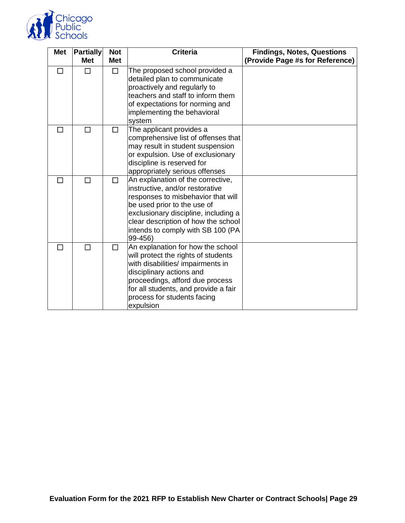![](_page_31_Picture_0.jpeg)

| <b>Met</b> | <b>Partially</b><br><b>Met</b> | <b>Not</b><br><b>Met</b> | <b>Criteria</b>                                                                                                                                                                                                                                                          | <b>Findings, Notes, Questions</b><br>(Provide Page #s for Reference) |
|------------|--------------------------------|--------------------------|--------------------------------------------------------------------------------------------------------------------------------------------------------------------------------------------------------------------------------------------------------------------------|----------------------------------------------------------------------|
| П          | П                              | $\Box$                   | The proposed school provided a<br>detailed plan to communicate                                                                                                                                                                                                           |                                                                      |
|            |                                |                          | proactively and regularly to<br>teachers and staff to inform them                                                                                                                                                                                                        |                                                                      |
|            |                                |                          | of expectations for norming and                                                                                                                                                                                                                                          |                                                                      |
|            |                                |                          | implementing the behavioral<br>system                                                                                                                                                                                                                                    |                                                                      |
| ΙI         | П                              | $\Box$                   | The applicant provides a<br>comprehensive list of offenses that<br>may result in student suspension<br>or expulsion. Use of exclusionary<br>discipline is reserved for<br>appropriately serious offenses                                                                 |                                                                      |
| П          | П                              | $\Box$                   | An explanation of the corrective,<br>instructive, and/or restorative<br>responses to misbehavior that will<br>be used prior to the use of<br>exclusionary discipline, including a<br>clear description of how the school<br>intends to comply with SB 100 (PA<br>99-456) |                                                                      |
| П          | П                              | $\Box$                   | An explanation for how the school<br>will protect the rights of students<br>with disabilities/ impairments in<br>disciplinary actions and<br>proceedings, afford due process<br>for all students, and provide a fair<br>process for students facing<br>expulsion         |                                                                      |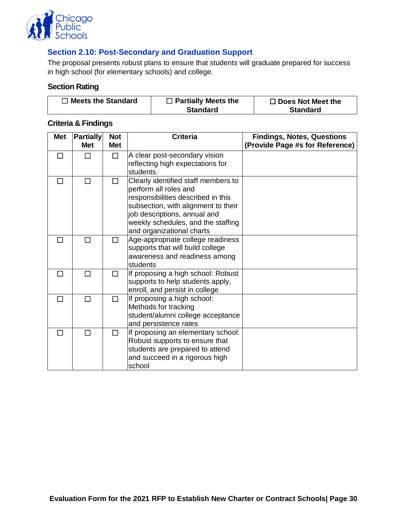![](_page_32_Picture_0.jpeg)

## <span id="page-32-0"></span>**Section 2.10: Post-Secondary and Graduation Support**

The proposal presents robust plans to ensure that students will graduate prepared for success in high school (for elementary schools) and college.

### **Section Rating**

| $\Box$ Meets the Standard | $\Box$ Partially Meets the | $\Box$ Does Not Meet the |
|---------------------------|----------------------------|--------------------------|
|                           | <b>Standard</b>            | <b>Standard</b>          |

| <b>Met</b>   | <b>Partially</b><br><b>Met</b> | <b>Not</b><br><b>Met</b> | <b>Criteria</b>                                                                                                                                                                                                                              | <b>Findings, Notes, Questions</b><br>(Provide Page #s for Reference) |
|--------------|--------------------------------|--------------------------|----------------------------------------------------------------------------------------------------------------------------------------------------------------------------------------------------------------------------------------------|----------------------------------------------------------------------|
| П            | П                              | $\Box$                   | A clear post-secondary vision<br>reflecting high expectations for<br>students.                                                                                                                                                               |                                                                      |
| П            | П                              | П                        | Clearly identified staff members to<br>perform all roles and<br>responsibilities described in this<br>subsection, with alignment to their<br>job descriptions, annual and<br>weekly schedules, and the staffing<br>and organizational charts |                                                                      |
|              | П                              | $\Box$                   | Age-appropriate college readiness<br>supports that will build college<br>awareness and readiness among<br>students                                                                                                                           |                                                                      |
| $\mathsf{L}$ | П                              | П                        | If proposing a high school: Robust<br>supports to help students apply,<br>enroll, and persist in college                                                                                                                                     |                                                                      |
| П            | П                              | $\Box$                   | If proposing a high school:<br>Methods for tracking<br>student/alumni college acceptance<br>and persistence rates                                                                                                                            |                                                                      |
|              |                                | П                        | If proposing an elementary school:<br>Robust supports to ensure that<br>students are prepared to attend<br>and succeed in a rigorous high<br>school                                                                                          |                                                                      |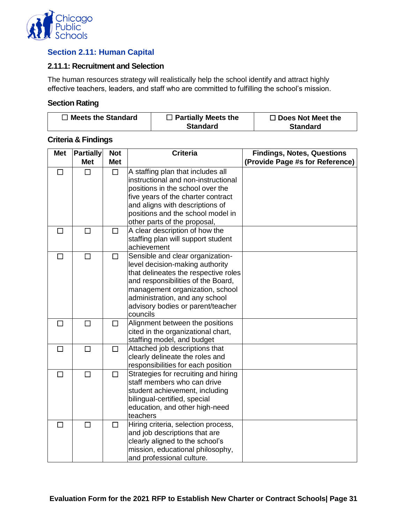![](_page_33_Picture_0.jpeg)

## <span id="page-33-0"></span>**Section 2.11: Human Capital**

#### **2.11.1: Recruitment and Selection**

The human resources strategy will realistically help the school identify and attract highly effective teachers, leaders, and staff who are committed to fulfilling the school's mission.

### **Section Rating**

| $\Box$ Meets the Standard | $\Box$ Partially Meets the | $\Box$ Does Not Meet the |
|---------------------------|----------------------------|--------------------------|
|                           | <b>Standard</b>            | <b>Standard</b>          |

| <b>Met</b> | <b>Partially</b><br><b>Met</b> | <b>Not</b><br><b>Met</b> | <b>Criteria</b>                      | <b>Findings, Notes, Questions</b><br>(Provide Page #s for Reference) |
|------------|--------------------------------|--------------------------|--------------------------------------|----------------------------------------------------------------------|
|            |                                |                          |                                      |                                                                      |
| П          | П                              | $\Box$                   | A staffing plan that includes all    |                                                                      |
|            |                                |                          | instructional and non-instructional  |                                                                      |
|            |                                |                          | positions in the school over the     |                                                                      |
|            |                                |                          | five years of the charter contract   |                                                                      |
|            |                                |                          | and aligns with descriptions of      |                                                                      |
|            |                                |                          | positions and the school model in    |                                                                      |
|            |                                |                          | other parts of the proposal,         |                                                                      |
| П          | $\Box$                         | $\Box$                   | A clear description of how the       |                                                                      |
|            |                                |                          | staffing plan will support student   |                                                                      |
|            |                                |                          | achievement                          |                                                                      |
| ΓΙ         | П                              | П                        | Sensible and clear organization-     |                                                                      |
|            |                                |                          | level decision-making authority      |                                                                      |
|            |                                |                          | that delineates the respective roles |                                                                      |
|            |                                |                          | and responsibilities of the Board,   |                                                                      |
|            |                                |                          | management organization, school      |                                                                      |
|            |                                |                          | administration, and any school       |                                                                      |
|            |                                |                          | advisory bodies or parent/teacher    |                                                                      |
|            |                                |                          | councils                             |                                                                      |
| П          | $\Box$                         | $\Box$                   | Alignment between the positions      |                                                                      |
|            |                                |                          | cited in the organizational chart,   |                                                                      |
|            |                                |                          | staffing model, and budget           |                                                                      |
| П          | $\Box$                         | $\Box$                   | Attached job descriptions that       |                                                                      |
|            |                                |                          | clearly delineate the roles and      |                                                                      |
|            |                                |                          | responsibilities for each position   |                                                                      |
| П          | П                              | □                        | Strategies for recruiting and hiring |                                                                      |
|            |                                |                          | staff members who can drive          |                                                                      |
|            |                                |                          | student achievement, including       |                                                                      |
|            |                                |                          | bilingual-certified, special         |                                                                      |
|            |                                |                          | education, and other high-need       |                                                                      |
|            |                                |                          | teachers                             |                                                                      |
| П          | П                              | $\Box$                   | Hiring criteria, selection process,  |                                                                      |
|            |                                |                          | and job descriptions that are        |                                                                      |
|            |                                |                          | clearly aligned to the school's      |                                                                      |
|            |                                |                          | mission, educational philosophy,     |                                                                      |
|            |                                |                          | and professional culture.            |                                                                      |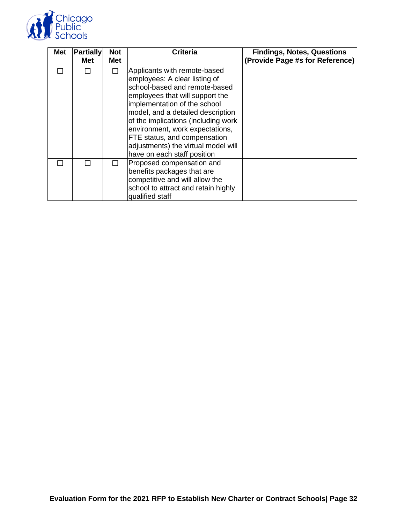![](_page_34_Picture_0.jpeg)

| <b>Met</b> | <b>Partially</b><br>Met | <b>Not</b><br><b>Met</b> | <b>Criteria</b>                                                                                                                                                                                                                                                                                                                                                                        | <b>Findings, Notes, Questions</b><br>(Provide Page #s for Reference) |
|------------|-------------------------|--------------------------|----------------------------------------------------------------------------------------------------------------------------------------------------------------------------------------------------------------------------------------------------------------------------------------------------------------------------------------------------------------------------------------|----------------------------------------------------------------------|
|            |                         |                          | Applicants with remote-based<br>employees: A clear listing of<br>school-based and remote-based<br>employees that will support the<br>implementation of the school<br>model, and a detailed description<br>of the implications (including work<br>environment, work expectations,<br>FTE status, and compensation<br>adjustments) the virtual model will<br>have on each staff position |                                                                      |
|            | I                       |                          | Proposed compensation and<br>benefits packages that are<br>competitive and will allow the<br>school to attract and retain highly<br>qualified staff                                                                                                                                                                                                                                    |                                                                      |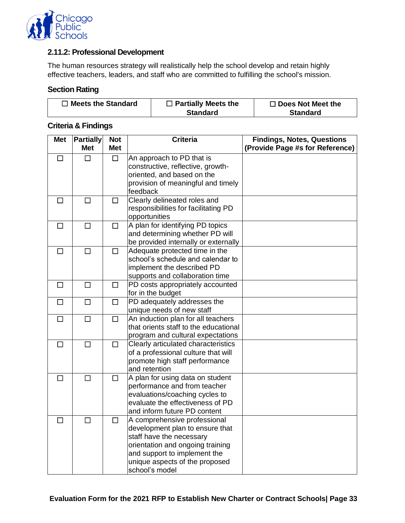![](_page_35_Picture_0.jpeg)

## **2.11.2: Professional Development**

The human resources strategy will realistically help the school develop and retain highly effective teachers, leaders, and staff who are committed to fulfilling the school's mission.

## **Section Rating**

| □ Meets the Standard | $\Box$ Partially Meets the | $\Box$ Does Not Meet the |
|----------------------|----------------------------|--------------------------|
|                      | <b>Standard</b>            | <b>Standard</b>          |

| <b>Met</b> | Partially<br><b>Met</b> | <b>Not</b><br><b>Met</b> | <b>Criteria</b>                                                                                                                                                                                                     | <b>Findings, Notes, Questions</b><br>(Provide Page #s for Reference) |
|------------|-------------------------|--------------------------|---------------------------------------------------------------------------------------------------------------------------------------------------------------------------------------------------------------------|----------------------------------------------------------------------|
| $\Box$     | П                       | $\Box$                   | An approach to PD that is<br>constructive, reflective, growth-<br>oriented, and based on the<br>provision of meaningful and timely<br>feedback                                                                      |                                                                      |
| $\Box$     | □                       | □                        | Clearly delineated roles and<br>responsibilities for facilitating PD<br>opportunities                                                                                                                               |                                                                      |
| □          | $\Box$                  | $\Box$                   | A plan for identifying PD topics<br>and determining whether PD will<br>be provided internally or externally                                                                                                         |                                                                      |
| $\Box$     | $\Box$                  | $\Box$                   | Adequate protected time in the<br>school's schedule and calendar to<br>implement the described PD<br>supports and collaboration time                                                                                |                                                                      |
| $\Box$     | $\Box$                  | □                        | PD costs appropriately accounted<br>for in the budget                                                                                                                                                               |                                                                      |
| П          | П                       | □                        | PD adequately addresses the<br>unique needs of new staff                                                                                                                                                            |                                                                      |
| $\Box$     | $\Box$                  | $\Box$                   | An induction plan for all teachers<br>that orients staff to the educational<br>program and cultural expectations                                                                                                    |                                                                      |
| $\Box$     | $\Box$                  | □                        | Clearly articulated characteristics<br>of a professional culture that will<br>promote high staff performance<br>and retention                                                                                       |                                                                      |
| $\Box$     | $\Box$                  | $\Box$                   | A plan for using data on student<br>performance and from teacher<br>evaluations/coaching cycles to<br>evaluate the effectiveness of PD<br>and inform future PD content                                              |                                                                      |
|            | П                       | □                        | A comprehensive professional<br>development plan to ensure that<br>staff have the necessary<br>orientation and ongoing training<br>and support to implement the<br>unique aspects of the proposed<br>school's model |                                                                      |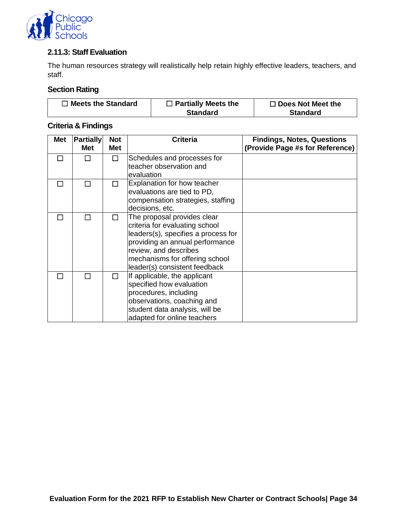![](_page_36_Picture_0.jpeg)

## **2.11.3: Staff Evaluation**

The human resources strategy will realistically help retain highly effective leaders, teachers, and staff.

## **Section Rating**

| $\Box$ Meets the Standard | $\Box$ Partially Meets the | $\Box$ Does Not Meet the |
|---------------------------|----------------------------|--------------------------|
|                           | <b>Standard</b>            | <b>Standard</b>          |

| <b>Met</b> | <b>Partially</b><br><b>Met</b> | <b>Not</b><br><b>Met</b> | <b>Criteria</b>                                                                                                                                                                                                                     | <b>Findings, Notes, Questions</b><br>(Provide Page #s for Reference) |
|------------|--------------------------------|--------------------------|-------------------------------------------------------------------------------------------------------------------------------------------------------------------------------------------------------------------------------------|----------------------------------------------------------------------|
|            |                                | $\Box$                   | Schedules and processes for<br>teacher observation and<br>evaluation                                                                                                                                                                |                                                                      |
|            |                                | П                        | Explanation for how teacher<br>evaluations are tied to PD,<br>compensation strategies, staffing<br>decisions, etc.                                                                                                                  |                                                                      |
|            |                                | $\mathsf{L}$             | The proposal provides clear<br>criteria for evaluating school<br>leaders(s), specifies a process for<br>providing an annual performance<br>review, and describes<br>mechanisms for offering school<br>leader(s) consistent feedback |                                                                      |
|            | F                              | П                        | If applicable, the applicant<br>specified how evaluation<br>procedures, including<br>observations, coaching and<br>student data analysis, will be<br>adapted for online teachers                                                    |                                                                      |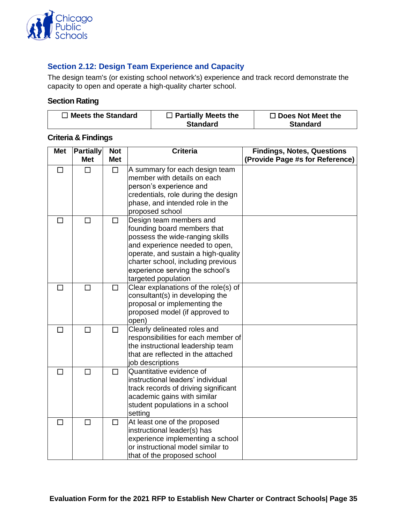![](_page_37_Picture_0.jpeg)

## <span id="page-37-0"></span>**Section 2.12: Design Team Experience and Capacity**

The design team's (or existing school network's) experience and track record demonstrate the capacity to open and operate a high-quality charter school.

## **Section Rating**

| $\Box$ Meets the Standard | $\Box$ Partially Meets the | $\Box$ Does Not Meet the |
|---------------------------|----------------------------|--------------------------|
|                           | <b>Standard</b>            | <b>Standard</b>          |

| <b>Met</b> | <b>Partially</b> | <b>Not</b> | <b>Criteria</b>                                                                                                                                                                                                                                                    | <b>Findings, Notes, Questions</b> |
|------------|------------------|------------|--------------------------------------------------------------------------------------------------------------------------------------------------------------------------------------------------------------------------------------------------------------------|-----------------------------------|
|            | <b>Met</b>       | <b>Met</b> |                                                                                                                                                                                                                                                                    | (Provide Page #s for Reference)   |
| П          | $\Box$           | $\Box$     | A summary for each design team<br>member with details on each<br>person's experience and<br>credentials, role during the design<br>phase, and intended role in the<br>proposed school                                                                              |                                   |
| $\Box$     | $\Box$           | $\Box$     | Design team members and<br>founding board members that<br>possess the wide-ranging skills<br>and experience needed to open,<br>operate, and sustain a high-quality<br>charter school, including previous<br>experience serving the school's<br>targeted population |                                   |
| П          | $\Box$           | $\Box$     | Clear explanations of the role(s) of<br>consultant(s) in developing the<br>proposal or implementing the<br>proposed model (if approved to<br>open)                                                                                                                 |                                   |
| П          | П                | $\Box$     | Clearly delineated roles and<br>responsibilities for each member of<br>the instructional leadership team<br>that are reflected in the attached<br>job descriptions                                                                                                 |                                   |
|            | П                | П          | Quantitative evidence of<br>instructional leaders' individual<br>track records of driving significant<br>academic gains with similar<br>student populations in a school<br>setting                                                                                 |                                   |
| П          | П                | □          | At least one of the proposed<br>instructional leader(s) has<br>experience implementing a school<br>or instructional model similar to<br>that of the proposed school                                                                                                |                                   |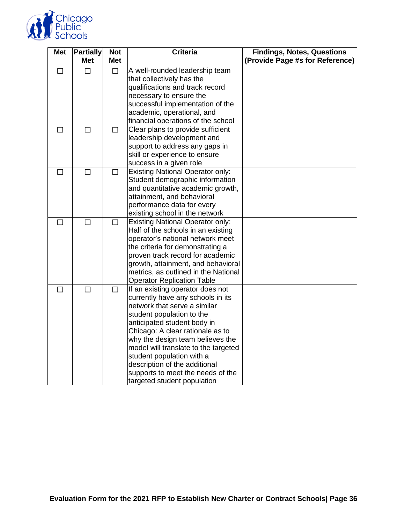![](_page_38_Picture_0.jpeg)

| <b>Met</b> | <b>Partially</b><br><b>Met</b> | <b>Not</b><br><b>Met</b> | <b>Criteria</b>                         | <b>Findings, Notes, Questions</b><br>(Provide Page #s for Reference) |
|------------|--------------------------------|--------------------------|-----------------------------------------|----------------------------------------------------------------------|
| П          | П                              | $\Box$                   | A well-rounded leadership team          |                                                                      |
|            |                                |                          | that collectively has the               |                                                                      |
|            |                                |                          | qualifications and track record         |                                                                      |
|            |                                |                          | necessary to ensure the                 |                                                                      |
|            |                                |                          | successful implementation of the        |                                                                      |
|            |                                |                          | academic, operational, and              |                                                                      |
|            |                                |                          | financial operations of the school      |                                                                      |
| $\Box$     | $\Box$                         | $\Box$                   | Clear plans to provide sufficient       |                                                                      |
|            |                                |                          | leadership development and              |                                                                      |
|            |                                |                          | support to address any gaps in          |                                                                      |
|            |                                |                          | skill or experience to ensure           |                                                                      |
|            |                                |                          | success in a given role                 |                                                                      |
| □          | $\Box$                         | $\Box$                   | <b>Existing National Operator only:</b> |                                                                      |
|            |                                |                          | Student demographic information         |                                                                      |
|            |                                |                          | and quantitative academic growth,       |                                                                      |
|            |                                |                          | attainment, and behavioral              |                                                                      |
|            |                                |                          | performance data for every              |                                                                      |
|            |                                |                          | existing school in the network          |                                                                      |
| $\Box$     | П                              | $\Box$                   | <b>Existing National Operator only:</b> |                                                                      |
|            |                                |                          | Half of the schools in an existing      |                                                                      |
|            |                                |                          | operator's national network meet        |                                                                      |
|            |                                |                          | the criteria for demonstrating a        |                                                                      |
|            |                                |                          | proven track record for academic        |                                                                      |
|            |                                |                          | growth, attainment, and behavioral      |                                                                      |
|            |                                |                          | metrics, as outlined in the National    |                                                                      |
|            |                                |                          | <b>Operator Replication Table</b>       |                                                                      |
| П          | $\Box$                         | $\Box$                   | If an existing operator does not        |                                                                      |
|            |                                |                          | currently have any schools in its       |                                                                      |
|            |                                |                          | network that serve a similar            |                                                                      |
|            |                                |                          | student population to the               |                                                                      |
|            |                                |                          | anticipated student body in             |                                                                      |
|            |                                |                          | Chicago: A clear rationale as to        |                                                                      |
|            |                                |                          | why the design team believes the        |                                                                      |
|            |                                |                          | model will translate to the targeted    |                                                                      |
|            |                                |                          | student population with a               |                                                                      |
|            |                                |                          | description of the additional           |                                                                      |
|            |                                |                          | supports to meet the needs of the       |                                                                      |
|            |                                |                          | targeted student population             |                                                                      |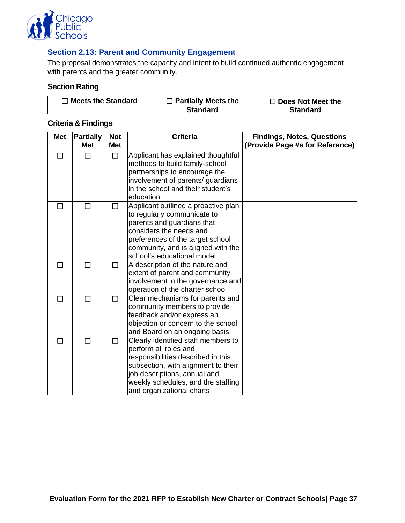![](_page_39_Picture_0.jpeg)

## <span id="page-39-0"></span>**Section 2.13: Parent and Community Engagement**

The proposal demonstrates the capacity and intent to build continued authentic engagement with parents and the greater community.

#### **Section Rating**

| $\Box$ Meets the Standard | $\Box$ Partially Meets the | $\Box$ Does Not Meet the |
|---------------------------|----------------------------|--------------------------|
|                           | <b>Standard</b>            | <b>Standard</b>          |

| <b>Met</b>   | <b>Partially</b> | <b>Not</b> | <b>Criteria</b>                                                                                                                                                                                                                              | <b>Findings, Notes, Questions</b> |
|--------------|------------------|------------|----------------------------------------------------------------------------------------------------------------------------------------------------------------------------------------------------------------------------------------------|-----------------------------------|
|              | <b>Met</b>       | <b>Met</b> |                                                                                                                                                                                                                                              | (Provide Page #s for Reference)   |
| П            | П                | $\Box$     | Applicant has explained thoughtful<br>methods to build family-school<br>partnerships to encourage the<br>involvement of parents/ guardians<br>in the school and their student's<br>education                                                 |                                   |
| П            | П                | П          | Applicant outlined a proactive plan<br>to regularly communicate to<br>parents and guardians that<br>considers the needs and<br>preferences of the target school<br>community, and is aligned with the<br>school's educational model          |                                   |
| П            | П                | $\Box$     | A description of the nature and<br>extent of parent and community<br>involvement in the governance and<br>operation of the charter school                                                                                                    |                                   |
| $\mathsf{L}$ | П                | $\Box$     | Clear mechanisms for parents and<br>community members to provide<br>feedback and/or express an<br>objection or concern to the school<br>and Board on an ongoing basis                                                                        |                                   |
| П            | П                | $\Box$     | Clearly identified staff members to<br>perform all roles and<br>responsibilities described in this<br>subsection, with alignment to their<br>job descriptions, annual and<br>weekly schedules, and the staffing<br>and organizational charts |                                   |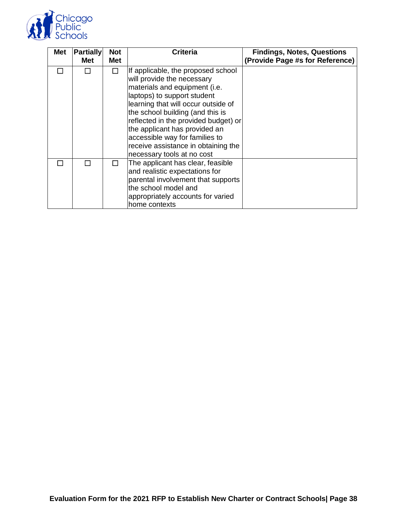![](_page_40_Picture_0.jpeg)

| <b>Met</b> | <b>Partially</b><br><b>Met</b> | <b>Not</b><br><b>Met</b> | <b>Criteria</b>                                                                                                                                                                                                                                                                                                                                                                             | <b>Findings, Notes, Questions</b><br>(Provide Page #s for Reference) |
|------------|--------------------------------|--------------------------|---------------------------------------------------------------------------------------------------------------------------------------------------------------------------------------------------------------------------------------------------------------------------------------------------------------------------------------------------------------------------------------------|----------------------------------------------------------------------|
|            |                                |                          | If applicable, the proposed school<br>will provide the necessary<br>materials and equipment (i.e.<br>laptops) to support student<br>learning that will occur outside of<br>the school building (and this is<br>reflected in the provided budget) or<br>the applicant has provided an<br>accessible way for families to<br>receive assistance in obtaining the<br>necessary tools at no cost |                                                                      |
|            |                                |                          | The applicant has clear, feasible<br>and realistic expectations for<br>parental involvement that supports<br>the school model and<br>appropriately accounts for varied<br>home contexts                                                                                                                                                                                                     |                                                                      |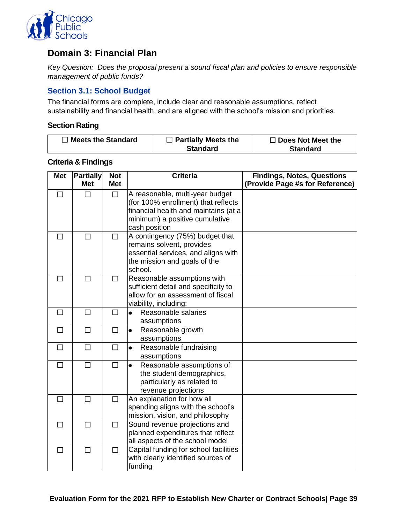![](_page_41_Picture_0.jpeg)

# <span id="page-41-0"></span>**Domain 3: Financial Plan**

*Key Question: Does the proposal present a sound fiscal plan and policies to ensure responsible management of public funds?*

## <span id="page-41-1"></span>**Section 3.1: School Budget**

The financial forms are complete, include clear and reasonable assumptions, reflect sustainability and financial health, and are aligned with the school's mission and priorities.

#### **Section Rating**

| $\Box$ Meets the Standard | $\Box$ Partially Meets the | $\Box$ Does Not Meet the |
|---------------------------|----------------------------|--------------------------|
|                           | <b>Standard</b>            | <b>Standard</b>          |

| <b>Met</b> | <b>Partially</b><br><b>Met</b> | <b>Not</b><br><b>Met</b> | <b>Criteria</b>                                                                                                                                                   | <b>Findings, Notes, Questions</b><br>(Provide Page #s for Reference) |
|------------|--------------------------------|--------------------------|-------------------------------------------------------------------------------------------------------------------------------------------------------------------|----------------------------------------------------------------------|
| $\Box$     | $\Box$                         | $\Box$                   | A reasonable, multi-year budget<br>(for 100% enrollment) that reflects<br>financial health and maintains (at a<br>minimum) a positive cumulative<br>cash position |                                                                      |
| П          | П                              | □                        | A contingency (75%) budget that<br>remains solvent, provides<br>essential services, and aligns with<br>the mission and goals of the<br>school.                    |                                                                      |
| $\Box$     | $\Box$                         | □                        | Reasonable assumptions with<br>sufficient detail and specificity to<br>allow for an assessment of fiscal<br>viability, including:                                 |                                                                      |
| □          | □                              | □                        | Reasonable salaries<br>$\bullet$<br>assumptions                                                                                                                   |                                                                      |
| $\Box$     | $\Box$                         | □                        | Reasonable growth<br>$\bullet$<br>assumptions                                                                                                                     |                                                                      |
| $\Box$     | $\Box$                         | $\Box$                   | Reasonable fundraising<br>$\bullet$<br>assumptions                                                                                                                |                                                                      |
| □          | $\Box$                         | □                        | Reasonable assumptions of<br>$\bullet$<br>the student demographics,<br>particularly as related to<br>revenue projections                                          |                                                                      |
| П          | $\Box$                         | $\Box$                   | An explanation for how all<br>spending aligns with the school's<br>mission, vision, and philosophy                                                                |                                                                      |
| □          | $\Box$                         | $\Box$                   | Sound revenue projections and<br>planned expenditures that reflect<br>all aspects of the school model                                                             |                                                                      |
| $\Box$     | П                              | □                        | Capital funding for school facilities<br>with clearly identified sources of<br>funding                                                                            |                                                                      |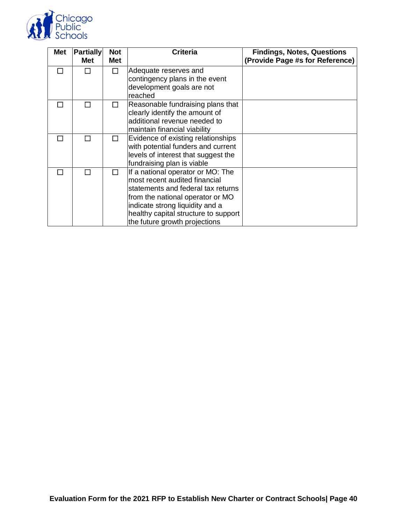![](_page_42_Picture_0.jpeg)

| <b>Met</b> | <b>Partially</b><br><b>Met</b> | <b>Not</b><br><b>Met</b> | Criteria                                                                                                                                                                                                                                                 | <b>Findings, Notes, Questions</b><br>(Provide Page #s for Reference) |
|------------|--------------------------------|--------------------------|----------------------------------------------------------------------------------------------------------------------------------------------------------------------------------------------------------------------------------------------------------|----------------------------------------------------------------------|
|            |                                |                          | Adequate reserves and<br>contingency plans in the event<br>development goals are not<br>reached                                                                                                                                                          |                                                                      |
|            | П                              |                          | Reasonable fundraising plans that<br>clearly identify the amount of<br>additional revenue needed to<br>maintain financial viability                                                                                                                      |                                                                      |
|            | П                              |                          | Evidence of existing relationships<br>with potential funders and current<br>levels of interest that suggest the<br>fundraising plan is viable                                                                                                            |                                                                      |
|            | П                              |                          | If a national operator or MO: The<br>most recent audited financial<br>statements and federal tax returns<br>from the national operator or MO<br>indicate strong liquidity and a<br>healthy capital structure to support<br>the future growth projections |                                                                      |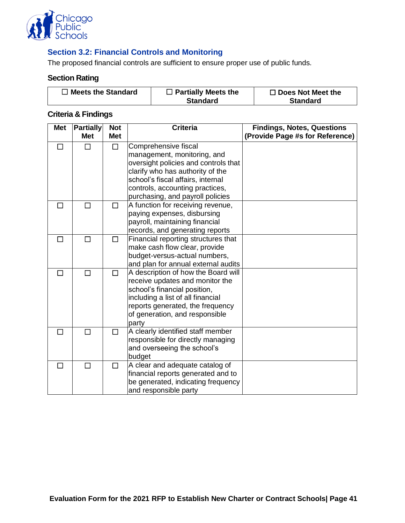![](_page_43_Picture_0.jpeg)

## <span id="page-43-0"></span>**Section 3.2: Financial Controls and Monitoring**

The proposed financial controls are sufficient to ensure proper use of public funds.

## **Section Rating**

| $\Box$ Meets the Standard | $\Box$ Partially Meets the | $\Box$ Does Not Meet the |
|---------------------------|----------------------------|--------------------------|
|                           | <b>Standard</b>            | <b>Standard</b>          |

| <b>Met</b> | <b>Partially</b> | <b>Not</b> | <b>Criteria</b>                                                                                                                                                                                                                                         | <b>Findings, Notes, Questions</b> |
|------------|------------------|------------|---------------------------------------------------------------------------------------------------------------------------------------------------------------------------------------------------------------------------------------------------------|-----------------------------------|
|            | <b>Met</b>       | <b>Met</b> |                                                                                                                                                                                                                                                         | (Provide Page #s for Reference)   |
| П          | П                | $\Box$     | Comprehensive fiscal                                                                                                                                                                                                                                    |                                   |
|            |                  |            | management, monitoring, and                                                                                                                                                                                                                             |                                   |
|            |                  |            | oversight policies and controls that                                                                                                                                                                                                                    |                                   |
|            |                  |            | clarify who has authority of the                                                                                                                                                                                                                        |                                   |
|            |                  |            | school's fiscal affairs, internal                                                                                                                                                                                                                       |                                   |
|            |                  |            | controls, accounting practices,                                                                                                                                                                                                                         |                                   |
|            |                  |            | purchasing, and payroll policies                                                                                                                                                                                                                        |                                   |
| П          | $\Box$           | $\Box$     | A function for receiving revenue,                                                                                                                                                                                                                       |                                   |
|            |                  |            | paying expenses, disbursing                                                                                                                                                                                                                             |                                   |
|            |                  |            | payroll, maintaining financial                                                                                                                                                                                                                          |                                   |
|            |                  |            | records, and generating reports                                                                                                                                                                                                                         |                                   |
| П          | $\Box$           | □          | Financial reporting structures that                                                                                                                                                                                                                     |                                   |
|            |                  |            | make cash flow clear, provide                                                                                                                                                                                                                           |                                   |
|            |                  |            | budget-versus-actual numbers,                                                                                                                                                                                                                           |                                   |
|            |                  |            | and plan for annual external audits                                                                                                                                                                                                                     |                                   |
| П          | $\Box$           | $\Box$     | A description of how the Board will                                                                                                                                                                                                                     |                                   |
|            |                  |            | receive updates and monitor the                                                                                                                                                                                                                         |                                   |
|            |                  |            | school's financial position,                                                                                                                                                                                                                            |                                   |
|            |                  |            | including a list of all financial                                                                                                                                                                                                                       |                                   |
|            |                  |            | reports generated, the frequency                                                                                                                                                                                                                        |                                   |
|            |                  |            | of generation, and responsible                                                                                                                                                                                                                          |                                   |
|            |                  |            | party                                                                                                                                                                                                                                                   |                                   |
|            |                  |            |                                                                                                                                                                                                                                                         |                                   |
|            |                  |            |                                                                                                                                                                                                                                                         |                                   |
|            |                  |            |                                                                                                                                                                                                                                                         |                                   |
|            |                  |            |                                                                                                                                                                                                                                                         |                                   |
|            |                  |            |                                                                                                                                                                                                                                                         |                                   |
|            |                  |            |                                                                                                                                                                                                                                                         |                                   |
|            |                  |            |                                                                                                                                                                                                                                                         |                                   |
| П<br>П     | $\Box$<br>П      | □<br>□     | A clearly identified staff member<br>responsible for directly managing<br>and overseeing the school's<br>budget<br>A clear and adequate catalog of<br>financial reports generated and to<br>be generated, indicating frequency<br>and responsible party |                                   |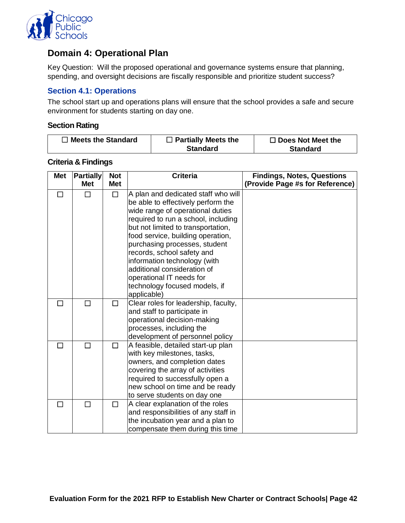![](_page_44_Picture_0.jpeg)

## <span id="page-44-0"></span>**Domain 4: Operational Plan**

Key Question: Will the proposed operational and governance systems ensure that planning, spending, and oversight decisions are fiscally responsible and prioritize student success?

## <span id="page-44-1"></span>**Section 4.1: Operations**

The school start up and operations plans will ensure that the school provides a safe and secure environment for students starting on day one.

#### **Section Rating**

| $\Box$ Meets the Standard | $\Box$ Partially Meets the | $\Box$ Does Not Meet the |
|---------------------------|----------------------------|--------------------------|
|                           | <b>Standard</b>            | <b>Standard</b>          |

| <b>Met</b>   | <b>Partially</b><br><b>Met</b> | <b>Not</b><br><b>Met</b> | <b>Criteria</b>                                                                                                                                                                                                                                                                                                                                                                                                                           | <b>Findings, Notes, Questions</b><br>(Provide Page #s for Reference) |
|--------------|--------------------------------|--------------------------|-------------------------------------------------------------------------------------------------------------------------------------------------------------------------------------------------------------------------------------------------------------------------------------------------------------------------------------------------------------------------------------------------------------------------------------------|----------------------------------------------------------------------|
| П            | П                              | $\Box$                   | A plan and dedicated staff who will<br>be able to effectively perform the<br>wide range of operational duties<br>required to run a school, including<br>but not limited to transportation,<br>food service, building operation,<br>purchasing processes, student<br>records, school safety and<br>information technology (with<br>additional consideration of<br>operational IT needs for<br>technology focused models, if<br>applicable) |                                                                      |
| $\mathsf{L}$ | П                              | □                        | Clear roles for leadership, faculty,<br>and staff to participate in<br>operational decision-making<br>processes, including the<br>development of personnel policy                                                                                                                                                                                                                                                                         |                                                                      |
| П            | П                              | П                        | A feasible, detailed start-up plan<br>with key milestones, tasks,<br>owners, and completion dates<br>covering the array of activities<br>required to successfully open a<br>new school on time and be ready<br>to serve students on day one                                                                                                                                                                                               |                                                                      |
| ΙI           | П                              | □                        | A clear explanation of the roles<br>and responsibilities of any staff in<br>the incubation year and a plan to<br>compensate them during this time                                                                                                                                                                                                                                                                                         |                                                                      |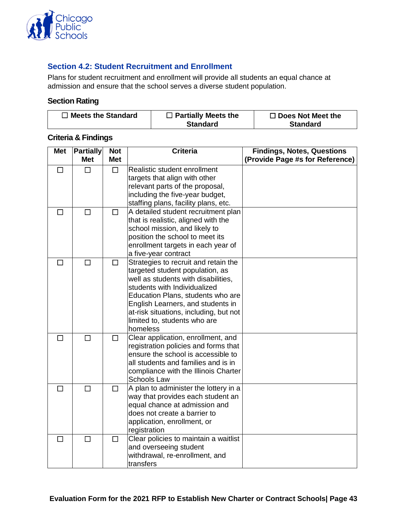![](_page_45_Picture_0.jpeg)

## <span id="page-45-0"></span>**Section 4.2: Student Recruitment and Enrollment**

Plans for student recruitment and enrollment will provide all students an equal chance at admission and ensure that the school serves a diverse student population.

## **Section Rating**

| $\Box$ Meets the Standard | $\Box$ Partially Meets the | $\Box$ Does Not Meet the |
|---------------------------|----------------------------|--------------------------|
|                           | <b>Standard</b>            | <b>Standard</b>          |

| <b>Met</b> | <b>Partially</b><br><b>Met</b> | <b>Not</b><br><b>Met</b> | <b>Criteria</b>                        | <b>Findings, Notes, Questions</b><br>(Provide Page #s for Reference) |
|------------|--------------------------------|--------------------------|----------------------------------------|----------------------------------------------------------------------|
|            |                                |                          |                                        |                                                                      |
| $\Box$     | $\Box$                         | $\Box$                   | Realistic student enrollment           |                                                                      |
|            |                                |                          | targets that align with other          |                                                                      |
|            |                                |                          | relevant parts of the proposal,        |                                                                      |
|            |                                |                          | including the five-year budget,        |                                                                      |
|            |                                |                          | staffing plans, facility plans, etc.   |                                                                      |
| П          | $\Box$                         | $\Box$                   | A detailed student recruitment plan    |                                                                      |
|            |                                |                          | that is realistic, aligned with the    |                                                                      |
|            |                                |                          | school mission, and likely to          |                                                                      |
|            |                                |                          | position the school to meet its        |                                                                      |
|            |                                |                          | enrollment targets in each year of     |                                                                      |
|            |                                |                          | a five-year contract                   |                                                                      |
| $\Box$     | $\Box$                         | $\Box$                   | Strategies to recruit and retain the   |                                                                      |
|            |                                |                          | targeted student population, as        |                                                                      |
|            |                                |                          | well as students with disabilities,    |                                                                      |
|            |                                |                          | students with Individualized           |                                                                      |
|            |                                |                          | Education Plans, students who are      |                                                                      |
|            |                                |                          | English Learners, and students in      |                                                                      |
|            |                                |                          | at-risk situations, including, but not |                                                                      |
|            |                                |                          | limited to, students who are           |                                                                      |
|            |                                |                          | homeless                               |                                                                      |
| $\Box$     | П                              | $\Box$                   | Clear application, enrollment, and     |                                                                      |
|            |                                |                          | registration policies and forms that   |                                                                      |
|            |                                |                          | ensure the school is accessible to     |                                                                      |
|            |                                |                          | all students and families and is in    |                                                                      |
|            |                                |                          | compliance with the Illinois Charter   |                                                                      |
|            |                                |                          | <b>Schools Law</b>                     |                                                                      |
| П          | П                              | □                        | A plan to administer the lottery in a  |                                                                      |
|            |                                |                          | way that provides each student an      |                                                                      |
|            |                                |                          | equal chance at admission and          |                                                                      |
|            |                                |                          | does not create a barrier to           |                                                                      |
|            |                                |                          | application, enrollment, or            |                                                                      |
|            |                                |                          | registration                           |                                                                      |
| ΙI         | $\Box$                         | $\Box$                   | Clear policies to maintain a waitlist  |                                                                      |
|            |                                |                          | and overseeing student                 |                                                                      |
|            |                                |                          | withdrawal, re-enrollment, and         |                                                                      |
|            |                                |                          | transfers                              |                                                                      |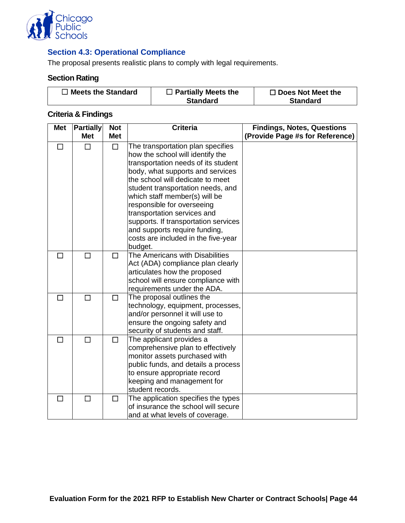![](_page_46_Picture_0.jpeg)

## <span id="page-46-0"></span>**Section 4.3: Operational Compliance**

The proposal presents realistic plans to comply with legal requirements.

## **Section Rating**

| $\Box$ Meets the Standard | $\Box$ Partially Meets the | $\Box$ Does Not Meet the |
|---------------------------|----------------------------|--------------------------|
|                           | <b>Standard</b>            | <b>Standard</b>          |

| <b>Met</b> | <b>Partially</b> | <b>Not</b> | <b>Criteria</b>                                                                                                                                                                                                                                                                                                                                                                                                                                    | <b>Findings, Notes, Questions</b> |
|------------|------------------|------------|----------------------------------------------------------------------------------------------------------------------------------------------------------------------------------------------------------------------------------------------------------------------------------------------------------------------------------------------------------------------------------------------------------------------------------------------------|-----------------------------------|
|            | <b>Met</b>       | <b>Met</b> |                                                                                                                                                                                                                                                                                                                                                                                                                                                    | (Provide Page #s for Reference)   |
|            | $\Box$           | $\Box$     | The transportation plan specifies<br>how the school will identify the<br>transportation needs of its student<br>body, what supports and services<br>the school will dedicate to meet<br>student transportation needs, and<br>which staff member(s) will be<br>responsible for overseeing<br>transportation services and<br>supports. If transportation services<br>and supports require funding,<br>costs are included in the five-year<br>budget. |                                   |
| $\Box$     | $\Box$           | $\Box$     | The Americans with Disabilities<br>Act (ADA) compliance plan clearly<br>articulates how the proposed<br>school will ensure compliance with<br>requirements under the ADA.                                                                                                                                                                                                                                                                          |                                   |
| ΙI         | $\Box$           | $\Box$     | The proposal outlines the<br>technology, equipment, processes,<br>and/or personnel it will use to<br>ensure the ongoing safety and<br>security of students and staff.                                                                                                                                                                                                                                                                              |                                   |
| П          | П                | $\Box$     | The applicant provides a<br>comprehensive plan to effectively<br>monitor assets purchased with<br>public funds, and details a process<br>to ensure appropriate record<br>keeping and management for<br>student records.                                                                                                                                                                                                                            |                                   |
| П          | $\Box$           | $\Box$     | The application specifies the types<br>of insurance the school will secure<br>and at what levels of coverage.                                                                                                                                                                                                                                                                                                                                      |                                   |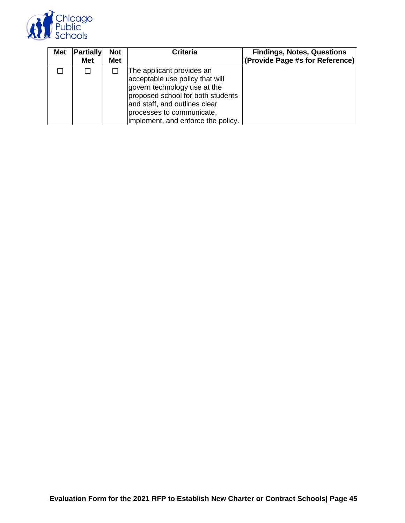![](_page_47_Picture_0.jpeg)

| <b>Met</b> | <b>Partially</b><br><b>Met</b> | <b>Not</b><br><b>Met</b> | <b>Criteria</b>                                                                                                                                                                                                                       | <b>Findings, Notes, Questions</b><br>(Provide Page #s for Reference) |
|------------|--------------------------------|--------------------------|---------------------------------------------------------------------------------------------------------------------------------------------------------------------------------------------------------------------------------------|----------------------------------------------------------------------|
|            |                                |                          | The applicant provides an<br>acceptable use policy that will<br>govern technology use at the<br>proposed school for both students<br>and staff, and outlines clear<br>processes to communicate.<br>implement, and enforce the policy. |                                                                      |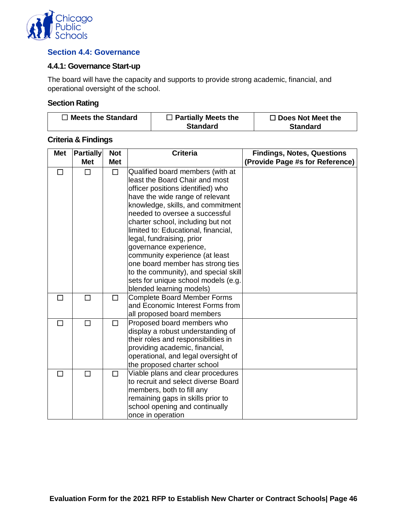![](_page_48_Picture_0.jpeg)

## <span id="page-48-0"></span>**Section 4.4: Governance**

#### **4.4.1: Governance Start-up**

The board will have the capacity and supports to provide strong academic, financial, and operational oversight of the school.

#### **Section Rating**

| $\Box$ Meets the Standard | $\Box$ Partially Meets the | $\Box$ Does Not Meet the |  |
|---------------------------|----------------------------|--------------------------|--|
|                           | <b>Standard</b>            | <b>Standard</b>          |  |

| <b>Met</b> | <b>Partially</b> | <b>Not</b>           | <b>Criteria</b>                                                                                                                                                                                                                                                                                                                                                                                                            | <b>Findings, Notes, Questions</b> |
|------------|------------------|----------------------|----------------------------------------------------------------------------------------------------------------------------------------------------------------------------------------------------------------------------------------------------------------------------------------------------------------------------------------------------------------------------------------------------------------------------|-----------------------------------|
| П          | <b>Met</b><br>П  | <b>Met</b><br>$\Box$ | Qualified board members (with at<br>least the Board Chair and most<br>officer positions identified) who<br>have the wide range of relevant<br>knowledge, skills, and commitment<br>needed to oversee a successful<br>charter school, including but not<br>limited to: Educational, financial,<br>legal, fundraising, prior<br>governance experience,<br>community experience (at least<br>one board member has strong ties | (Provide Page #s for Reference)   |
|            |                  |                      | to the community), and special skill<br>sets for unique school models (e.g.<br>blended learning models)                                                                                                                                                                                                                                                                                                                    |                                   |
| ΙI         | П                | □                    | <b>Complete Board Member Forms</b><br>and Economic Interest Forms from<br>all proposed board members                                                                                                                                                                                                                                                                                                                       |                                   |
| П          | П                | П                    | Proposed board members who<br>display a robust understanding of<br>their roles and responsibilities in<br>providing academic, financial,<br>operational, and legal oversight of<br>the proposed charter school                                                                                                                                                                                                             |                                   |
| <b>I</b>   | П                | П                    | Viable plans and clear procedures<br>to recruit and select diverse Board<br>members, both to fill any<br>remaining gaps in skills prior to<br>school opening and continually<br>once in operation                                                                                                                                                                                                                          |                                   |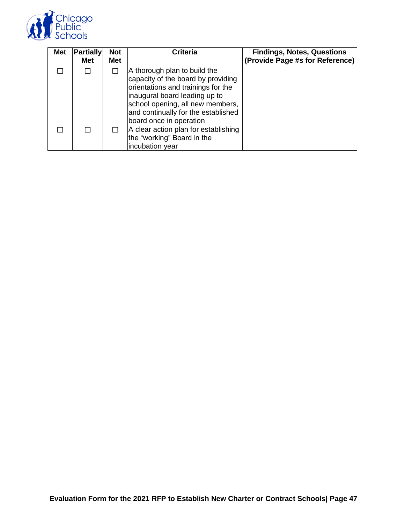![](_page_49_Picture_0.jpeg)

| <b>Met</b> | <b>Partially</b><br>Met | <b>Not</b><br><b>Met</b> | <b>Criteria</b>                                                                                                                                                                                                                                 | <b>Findings, Notes, Questions</b><br>(Provide Page #s for Reference) |
|------------|-------------------------|--------------------------|-------------------------------------------------------------------------------------------------------------------------------------------------------------------------------------------------------------------------------------------------|----------------------------------------------------------------------|
|            |                         |                          | A thorough plan to build the<br>capacity of the board by providing<br>orientations and trainings for the<br>inaugural board leading up to<br>school opening, all new members,<br>and continually for the established<br>board once in operation |                                                                      |
|            |                         |                          | A clear action plan for establishing<br>the "working" Board in the<br>incubation year                                                                                                                                                           |                                                                      |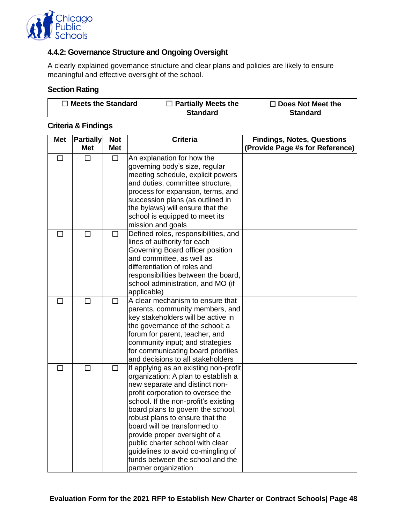![](_page_50_Picture_0.jpeg)

## **4.4.2: Governance Structure and Ongoing Oversight**

A clearly explained governance structure and clear plans and policies are likely to ensure meaningful and effective oversight of the school.

#### **Section Rating**

| $\Box$ Meets the Standard | $\Box$ Partially Meets the | $\Box$ Does Not Meet the |
|---------------------------|----------------------------|--------------------------|
|                           | <b>Standard</b>            | <b>Standard</b>          |

| <b>Met</b> | <b>Partially</b><br><b>Met</b> | <b>Not</b><br><b>Met</b> | <b>Criteria</b>                                                                                                                                                                                                                                                                                                                                                                                                                                                            | <b>Findings, Notes, Questions</b><br>(Provide Page #s for Reference) |
|------------|--------------------------------|--------------------------|----------------------------------------------------------------------------------------------------------------------------------------------------------------------------------------------------------------------------------------------------------------------------------------------------------------------------------------------------------------------------------------------------------------------------------------------------------------------------|----------------------------------------------------------------------|
| П          | П                              | $\Box$                   | An explanation for how the<br>governing body's size, regular<br>meeting schedule, explicit powers<br>and duties, committee structure,<br>process for expansion, terms, and<br>succession plans (as outlined in<br>the bylaws) will ensure that the<br>school is equipped to meet its<br>mission and goals                                                                                                                                                                  |                                                                      |
| П          | П                              | $\Box$                   | Defined roles, responsibilities, and<br>lines of authority for each<br>Governing Board officer position<br>and committee, as well as<br>differentiation of roles and<br>responsibilities between the board,<br>school administration, and MO (if<br>applicable)                                                                                                                                                                                                            |                                                                      |
| $\Box$     | $\Box$                         | $\Box$                   | A clear mechanism to ensure that<br>parents, community members, and<br>key stakeholders will be active in<br>the governance of the school; a<br>forum for parent, teacher, and<br>community input; and strategies<br>for communicating board priorities<br>and decisions to all stakeholders                                                                                                                                                                               |                                                                      |
| □          | $\Box$                         | $\Box$                   | If applying as an existing non-profit<br>organization: A plan to establish a<br>new separate and distinct non-<br>profit corporation to oversee the<br>school. If the non-profit's existing<br>board plans to govern the school,<br>robust plans to ensure that the<br>board will be transformed to<br>provide proper oversight of a<br>public charter school with clear<br>guidelines to avoid co-mingling of<br>funds between the school and the<br>partner organization |                                                                      |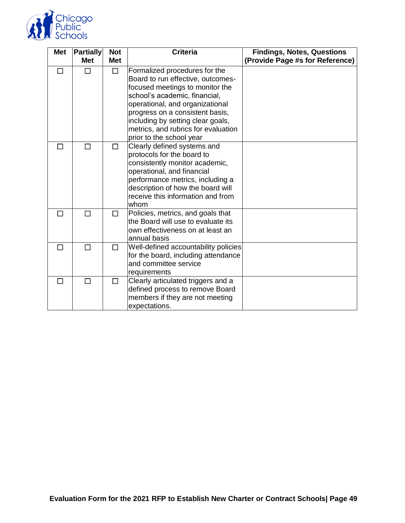![](_page_51_Picture_0.jpeg)

| <b>Met</b> | <b>Partially</b> | <b>Not</b> | <b>Criteria</b>                                                                                                                                                                                                                                                                                                      | <b>Findings, Notes, Questions</b> |
|------------|------------------|------------|----------------------------------------------------------------------------------------------------------------------------------------------------------------------------------------------------------------------------------------------------------------------------------------------------------------------|-----------------------------------|
|            | <b>Met</b>       | <b>Met</b> |                                                                                                                                                                                                                                                                                                                      | (Provide Page #s for Reference)   |
| П          | П                | $\Box$     | Formalized procedures for the<br>Board to run effective, outcomes-<br>focused meetings to monitor the<br>school's academic, financial,<br>operational, and organizational<br>progress on a consistent basis,<br>including by setting clear goals,<br>metrics, and rubrics for evaluation<br>prior to the school year |                                   |
| П          | П                | $\Box$     | Clearly defined systems and<br>protocols for the board to<br>consistently monitor academic,<br>operational, and financial<br>performance metrics, including a<br>description of how the board will<br>receive this information and from<br>whom                                                                      |                                   |
| П          | П                | П          | Policies, metrics, and goals that<br>the Board will use to evaluate its<br>own effectiveness on at least an<br>annual basis                                                                                                                                                                                          |                                   |
| П          | П                | $\Box$     | Well-defined accountability policies<br>for the board, including attendance<br>and committee service<br>requirements                                                                                                                                                                                                 |                                   |
| П          | П                | П          | Clearly articulated triggers and a<br>defined process to remove Board<br>members if they are not meeting<br>expectations.                                                                                                                                                                                            |                                   |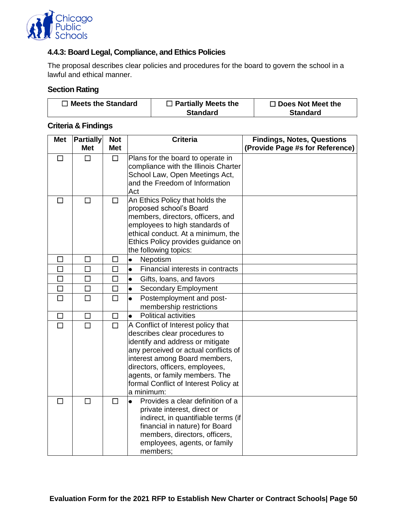![](_page_52_Picture_0.jpeg)

## **4.4.3: Board Legal, Compliance, and Ethics Policies**

The proposal describes clear policies and procedures for the board to govern the school in a lawful and ethical manner.

#### **Section Rating**

| $\Box$ Meets the Standard | $\Box$ Partially Meets the | $\Box$ Does Not Meet the |
|---------------------------|----------------------------|--------------------------|
|                           | <b>Standard</b>            | <b>Standard</b>          |

| <b>Met</b> | <b>Partially</b><br><b>Met</b> | <b>Not</b><br><b>Met</b> | <b>Criteria</b>                                                                                                                                                                                                                                                                                              | <b>Findings, Notes, Questions</b><br>(Provide Page #s for Reference) |
|------------|--------------------------------|--------------------------|--------------------------------------------------------------------------------------------------------------------------------------------------------------------------------------------------------------------------------------------------------------------------------------------------------------|----------------------------------------------------------------------|
| $\Box$     | П                              | $\Box$                   | Plans for the board to operate in<br>compliance with the Illinois Charter<br>School Law, Open Meetings Act,<br>and the Freedom of Information<br>Act                                                                                                                                                         |                                                                      |
| $\Box$     | $\Box$                         | □                        | An Ethics Policy that holds the<br>proposed school's Board<br>members, directors, officers, and<br>employees to high standards of<br>ethical conduct. At a minimum, the<br>Ethics Policy provides guidance on<br>the following topics:                                                                       |                                                                      |
| П          | $\Box$                         | $\Box$                   | Nepotism<br>$\bullet$                                                                                                                                                                                                                                                                                        |                                                                      |
| □          | □                              | □                        | Financial interests in contracts<br>$\bullet$                                                                                                                                                                                                                                                                |                                                                      |
| □          | $\Box$                         | □                        | Gifts, loans, and favors<br>$\bullet$                                                                                                                                                                                                                                                                        |                                                                      |
| $\Box$     | $\Box$                         | $\Box$                   | <b>Secondary Employment</b><br>$\bullet$                                                                                                                                                                                                                                                                     |                                                                      |
| □          | П                              | □                        | $\bullet$<br>Postemployment and post-<br>membership restrictions                                                                                                                                                                                                                                             |                                                                      |
| $\Box$     | $\Box$                         | $\Box$                   | <b>Political activities</b><br>$\bullet$                                                                                                                                                                                                                                                                     |                                                                      |
| $\Box$     | $\Box$                         | $\Box$                   | A Conflict of Interest policy that<br>describes clear procedures to<br>identify and address or mitigate<br>any perceived or actual conflicts of<br>interest among Board members,<br>directors, officers, employees,<br>agents, or family members. The<br>formal Conflict of Interest Policy at<br>a minimum: |                                                                      |
| □          | П                              | П                        | Provides a clear definition of a<br>$\bullet$<br>private interest, direct or<br>indirect, in quantifiable terms (if<br>financial in nature) for Board<br>members, directors, officers,<br>employees, agents, or family<br>members;                                                                           |                                                                      |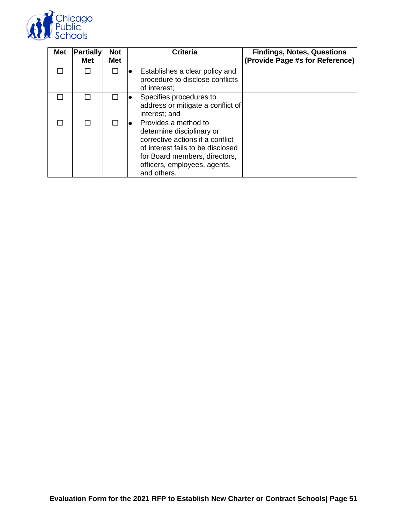![](_page_53_Picture_0.jpeg)

| <b>Met</b> | <b>Partially</b><br>Met | <b>Not</b><br><b>Met</b> | <b>Criteria</b>                                                                                                                                                                                            | <b>Findings, Notes, Questions</b><br>(Provide Page #s for Reference) |
|------------|-------------------------|--------------------------|------------------------------------------------------------------------------------------------------------------------------------------------------------------------------------------------------------|----------------------------------------------------------------------|
|            |                         |                          | Establishes a clear policy and<br>procedure to disclose conflicts<br>of interest:                                                                                                                          |                                                                      |
|            |                         |                          | Specifies procedures to<br>address or mitigate a conflict of<br>interest; and                                                                                                                              |                                                                      |
|            |                         |                          | Provides a method to<br>determine disciplinary or<br>corrective actions if a conflict<br>of interest fails to be disclosed<br>for Board members, directors,<br>officers, employees, agents,<br>and others. |                                                                      |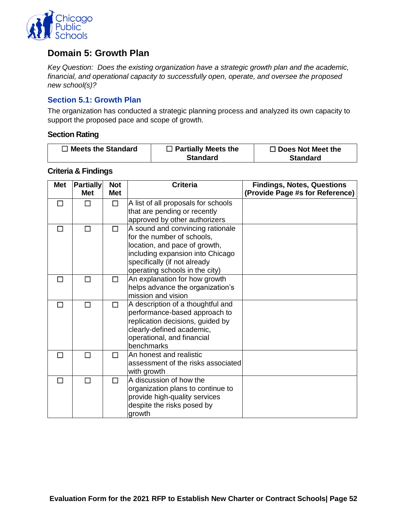![](_page_54_Picture_0.jpeg)

# <span id="page-54-0"></span>**Domain 5: Growth Plan**

*Key Question: Does the existing organization have a strategic growth plan and the academic, financial, and operational capacity to successfully open, operate, and oversee the proposed new school(s)?*

#### <span id="page-54-1"></span>**Section 5.1: Growth Plan**

The organization has conducted a strategic planning process and analyzed its own capacity to support the proposed pace and scope of growth.

#### **Section Rating**

| $\Box$ Meets the Standard | $\Box$ Partially Meets the | $\Box$ Does Not Meet the |
|---------------------------|----------------------------|--------------------------|
|                           | <b>Standard</b>            | <b>Standard</b>          |

| <b>Met</b> | <b>Partially</b><br><b>Met</b> | <b>Not</b><br><b>Met</b> | <b>Criteria</b>                                                                                                                                                                                       | <b>Findings, Notes, Questions</b><br>(Provide Page #s for Reference) |
|------------|--------------------------------|--------------------------|-------------------------------------------------------------------------------------------------------------------------------------------------------------------------------------------------------|----------------------------------------------------------------------|
| П          | Гι                             | $\Box$                   | A list of all proposals for schools<br>that are pending or recently<br>approved by other authorizers                                                                                                  |                                                                      |
| П          | П                              | □                        | A sound and convincing rationale<br>for the number of schools,<br>location, and pace of growth,<br>including expansion into Chicago<br>specifically (if not already<br>operating schools in the city) |                                                                      |
|            | П                              | П                        | An explanation for how growth<br>helps advance the organization's<br>mission and vision                                                                                                               |                                                                      |
| П          | П                              | П                        | A description of a thoughtful and<br>performance-based approach to<br>replication decisions, guided by<br>clearly-defined academic,<br>operational, and financial<br>benchmarks                       |                                                                      |
|            | П                              | П                        | An honest and realistic<br>assessment of the risks associated<br>with growth                                                                                                                          |                                                                      |
| П          | П                              | $\Box$                   | A discussion of how the<br>organization plans to continue to<br>provide high-quality services<br>despite the risks posed by<br>growth                                                                 |                                                                      |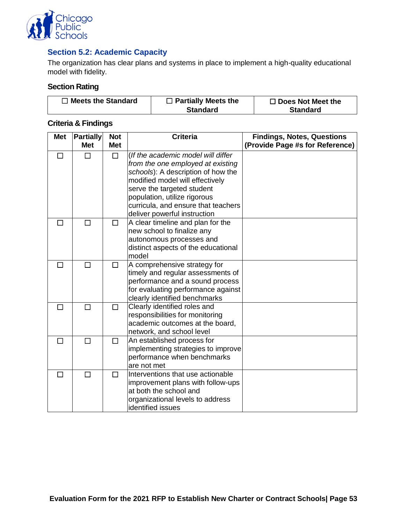![](_page_55_Picture_0.jpeg)

## <span id="page-55-0"></span>**Section 5.2: Academic Capacity**

The organization has clear plans and systems in place to implement a high-quality educational model with fidelity.

#### **Section Rating**

| $\Box$ Meets the Standard | $\Box$ Partially Meets the | $\Box$ Does Not Meet the |
|---------------------------|----------------------------|--------------------------|
|                           | <b>Standard</b>            | <b>Standard</b>          |

| <b>Met</b>   | Partially  | <b>Not</b> | <b>Criteria</b>                                                                                                                                                                                                                                                                       | <b>Findings, Notes, Questions</b> |
|--------------|------------|------------|---------------------------------------------------------------------------------------------------------------------------------------------------------------------------------------------------------------------------------------------------------------------------------------|-----------------------------------|
|              | <b>Met</b> | <b>Met</b> |                                                                                                                                                                                                                                                                                       | (Provide Page #s for Reference)   |
| ΓI           | П          | □          | (If the academic model will differ<br>from the one employed at existing<br>schools): A description of how the<br>modified model will effectively<br>serve the targeted student<br>population, utilize rigorous<br>curricula, and ensure that teachers<br>deliver powerful instruction |                                   |
|              |            | □          | A clear timeline and plan for the<br>new school to finalize any<br>autonomous processes and<br>distinct aspects of the educational<br>model                                                                                                                                           |                                   |
| $\mathsf{L}$ | П          | □          | A comprehensive strategy for<br>timely and regular assessments of<br>performance and a sound process<br>for evaluating performance against<br>clearly identified benchmarks                                                                                                           |                                   |
| П            | $\Box$     | П          | Clearly identified roles and<br>responsibilities for monitoring<br>academic outcomes at the board,<br>network, and school level                                                                                                                                                       |                                   |
| $\mathsf{L}$ | П          | □          | An established process for<br>implementing strategies to improve<br>performance when benchmarks<br>are not met                                                                                                                                                                        |                                   |
| $\mathsf{L}$ | П          | П          | Interventions that use actionable<br>improvement plans with follow-ups<br>at both the school and<br>organizational levels to address<br>identified issues                                                                                                                             |                                   |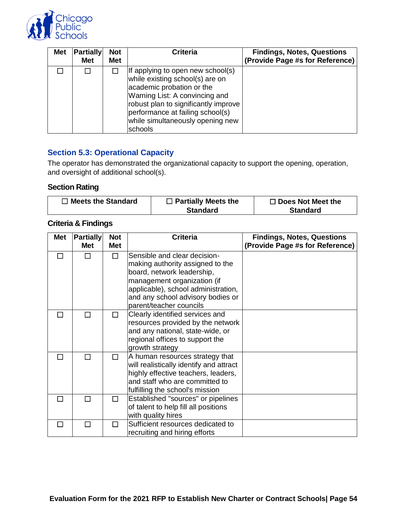![](_page_56_Picture_0.jpeg)

| <b>Met</b> | <b>Partially</b><br><b>Met</b> | <b>Not</b><br><b>Met</b> | <b>Criteria</b>                                                                                                                                                                                                                                                       | <b>Findings, Notes, Questions</b><br>(Provide Page #s for Reference) |
|------------|--------------------------------|--------------------------|-----------------------------------------------------------------------------------------------------------------------------------------------------------------------------------------------------------------------------------------------------------------------|----------------------------------------------------------------------|
|            |                                |                          | If applying to open new school(s)<br>while existing school(s) are on<br>academic probation or the<br>Warning List: A convincing and<br>robust plan to significantly improve<br>performance at failing school(s)<br>while simultaneously opening new<br><b>schools</b> |                                                                      |

## <span id="page-56-0"></span>**Section 5.3: Operational Capacity**

The operator has demonstrated the organizational capacity to support the opening, operation, and oversight of additional school(s).

#### **Section Rating**

| $\Box$ Meets the Standard | $\Box$ Partially Meets the | $\Box$ Does Not Meet the |
|---------------------------|----------------------------|--------------------------|
|                           | <b>Standard</b>            | <b>Standard</b>          |

| <b>Met</b> | <b>Partially</b> | <b>Not</b> | <b>Criteria</b>                         | <b>Findings, Notes, Questions</b> |
|------------|------------------|------------|-----------------------------------------|-----------------------------------|
|            | <b>Met</b>       | <b>Met</b> |                                         | (Provide Page #s for Reference)   |
|            |                  | П          | Sensible and clear decision-            |                                   |
|            |                  |            | making authority assigned to the        |                                   |
|            |                  |            | board, network leadership,              |                                   |
|            |                  |            | management organization (if             |                                   |
|            |                  |            | applicable), school administration,     |                                   |
|            |                  |            | and any school advisory bodies or       |                                   |
|            |                  |            | parent/teacher councils                 |                                   |
|            | П                | П          | Clearly identified services and         |                                   |
|            |                  |            | resources provided by the network       |                                   |
|            |                  |            | and any national, state-wide, or        |                                   |
|            |                  |            | regional offices to support the         |                                   |
|            |                  |            | growth strategy                         |                                   |
|            |                  | П          | A human resources strategy that         |                                   |
|            |                  |            | will realistically identify and attract |                                   |
|            |                  |            | highly effective teachers, leaders,     |                                   |
|            |                  |            | and staff who are committed to          |                                   |
|            |                  |            | fulfilling the school's mission         |                                   |
|            |                  | П          | Established "sources" or pipelines      |                                   |
|            |                  |            | of talent to help fill all positions    |                                   |
|            |                  |            | with quality hires                      |                                   |
|            |                  | П          | Sufficient resources dedicated to       |                                   |
|            |                  |            | recruiting and hiring efforts           |                                   |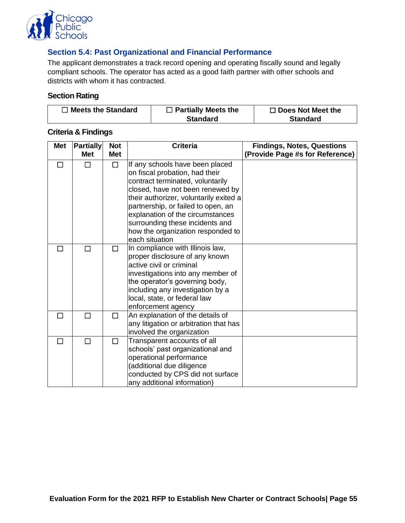![](_page_57_Picture_0.jpeg)

## <span id="page-57-0"></span>**Section 5.4: Past Organizational and Financial Performance**

The applicant demonstrates a track record opening and operating fiscally sound and legally compliant schools. The operator has acted as a good faith partner with other schools and districts with whom it has contracted.

#### **Section Rating**

| $\Box$ Meets the Standard | $\Box$ Partially Meets the | $\Box$ Does Not Meet the |
|---------------------------|----------------------------|--------------------------|
|                           | <b>Standard</b>            | <b>Standard</b>          |

| <b>Met</b> | <b>Partially</b> | <b>Not</b> | <b>Criteria</b>                                                                                                                                                                                                                                                                                                                                         | <b>Findings, Notes, Questions</b> |
|------------|------------------|------------|---------------------------------------------------------------------------------------------------------------------------------------------------------------------------------------------------------------------------------------------------------------------------------------------------------------------------------------------------------|-----------------------------------|
|            | <b>Met</b>       | <b>Met</b> |                                                                                                                                                                                                                                                                                                                                                         | (Provide Page #s for Reference)   |
| П          |                  | $\Box$     | If any schools have been placed<br>on fiscal probation, had their<br>contract terminated, voluntarily<br>closed, have not been renewed by<br>their authorizer, voluntarily exited a<br>partnership, or failed to open, an<br>explanation of the circumstances<br>surrounding these incidents and<br>how the organization responded to<br>each situation |                                   |
| П          | П                | $\Box$     | In compliance with Illinois law,<br>proper disclosure of any known<br>active civil or criminal<br>investigations into any member of<br>the operator's governing body,<br>including any investigation by a<br>local, state, or federal law<br>enforcement agency                                                                                         |                                   |
| П          | П                | □          | An explanation of the details of<br>any litigation or arbitration that has<br>involved the organization                                                                                                                                                                                                                                                 |                                   |
| П          | П                | $\Box$     | Transparent accounts of all<br>schools' past organizational and<br>operational performance<br>(additional due diligence<br>conducted by CPS did not surface<br>any additional information)                                                                                                                                                              |                                   |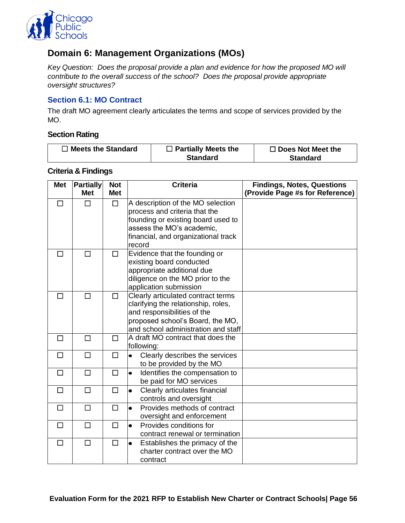![](_page_58_Picture_0.jpeg)

# <span id="page-58-0"></span>**Domain 6: Management Organizations (MOs)**

*Key Question: Does the proposal provide a plan and evidence for how the proposed MO will contribute to the overall success of the school? Does the proposal provide appropriate oversight structures?*

#### <span id="page-58-1"></span>**Section 6.1: MO Contract**

The draft MO agreement clearly articulates the terms and scope of services provided by the MO.

#### **Section Rating**

| $\Box$ Meets the Standard | $\Box$ Partially Meets the | $\Box$ Does Not Meet the |
|---------------------------|----------------------------|--------------------------|
|                           | <b>Standard</b>            | <b>Standard</b>          |

| <b>Met</b> | <b>Partially</b><br><b>Met</b> | <b>Not</b><br><b>Met</b> | <b>Criteria</b>                             | <b>Findings, Notes, Questions</b><br>(Provide Page #s for Reference) |
|------------|--------------------------------|--------------------------|---------------------------------------------|----------------------------------------------------------------------|
|            |                                |                          |                                             |                                                                      |
| П          | П                              | $\Box$                   | A description of the MO selection           |                                                                      |
|            |                                |                          | process and criteria that the               |                                                                      |
|            |                                |                          | founding or existing board used to          |                                                                      |
|            |                                |                          | assess the MO's academic,                   |                                                                      |
|            |                                |                          | financial, and organizational track         |                                                                      |
|            |                                |                          | record                                      |                                                                      |
| П          | $\Box$                         | □                        | Evidence that the founding or               |                                                                      |
|            |                                |                          | existing board conducted                    |                                                                      |
|            |                                |                          | appropriate additional due                  |                                                                      |
|            |                                |                          | diligence on the MO prior to the            |                                                                      |
|            |                                |                          | application submission                      |                                                                      |
| П          | П                              | □                        | Clearly articulated contract terms          |                                                                      |
|            |                                |                          | clarifying the relationship, roles,         |                                                                      |
|            |                                |                          | and responsibilities of the                 |                                                                      |
|            |                                |                          | proposed school's Board, the MO,            |                                                                      |
|            |                                |                          | and school administration and staff         |                                                                      |
| $\Box$     | $\Box$                         | □                        | A draft MO contract that does the           |                                                                      |
|            |                                |                          | following:                                  |                                                                      |
| П          | П                              | □                        | Clearly describes the services              |                                                                      |
|            |                                |                          | to be provided by the MO                    |                                                                      |
| П          | П                              | $\Box$                   | Identifies the compensation to<br>$\bullet$ |                                                                      |
|            |                                |                          | be paid for MO services                     |                                                                      |
| П          | $\Box$                         | □                        | Clearly articulates financial<br>$\bullet$  |                                                                      |
|            |                                |                          | controls and oversight                      |                                                                      |
| П          | П                              | □                        | Provides methods of contract<br>$\bullet$   |                                                                      |
|            |                                |                          | oversight and enforcement                   |                                                                      |
| $\Box$     | $\Box$                         | $\Box$                   | Provides conditions for<br>$\bullet$        |                                                                      |
|            |                                |                          | contract renewal or termination             |                                                                      |
| П          | $\Box$                         | $\Box$                   | Establishes the primacy of the              |                                                                      |
|            |                                |                          | charter contract over the MO                |                                                                      |
|            |                                |                          | contract                                    |                                                                      |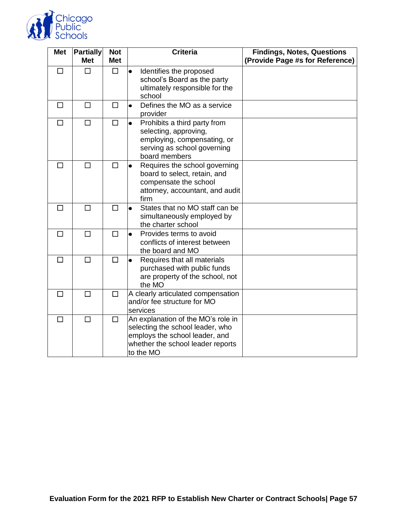![](_page_59_Picture_0.jpeg)

| <b>Met</b> | <b>Partially</b><br><b>Met</b> | <b>Not</b><br><b>Met</b> | <b>Criteria</b>                                                                                                                                            | <b>Findings, Notes, Questions</b><br>(Provide Page #s for Reference) |
|------------|--------------------------------|--------------------------|------------------------------------------------------------------------------------------------------------------------------------------------------------|----------------------------------------------------------------------|
| $\Box$     | $\Box$                         | $\Box$                   | Identifies the proposed<br>$\bullet$<br>school's Board as the party<br>ultimately responsible for the<br>school                                            |                                                                      |
| □          | $\Box$                         | □                        | Defines the MO as a service<br>$\bullet$<br>provider                                                                                                       |                                                                      |
| □          | $\Box$                         | □                        | Prohibits a third party from<br>$\bullet$<br>selecting, approving,<br>employing, compensating, or<br>serving as school governing<br>board members          |                                                                      |
| $\Box$     | $\Box$                         | □                        | Requires the school governing<br>$\bullet$<br>board to select, retain, and<br>compensate the school<br>attorney, accountant, and audit<br>firm             |                                                                      |
| $\Box$     | $\Box$                         | $\Box$                   | States that no MO staff can be<br>$\bullet$<br>simultaneously employed by<br>the charter school                                                            |                                                                      |
| $\Box$     | $\Box$                         | $\Box$                   | Provides terms to avoid<br>$\bullet$<br>conflicts of interest between<br>the board and MO                                                                  |                                                                      |
| □          | $\Box$                         | □                        | Requires that all materials<br>$\bullet$<br>purchased with public funds<br>are property of the school, not<br>the MO                                       |                                                                      |
| $\Box$     | $\Box$                         | $\Box$                   | A clearly articulated compensation<br>and/or fee structure for MO<br>services                                                                              |                                                                      |
| □          | $\Box$                         | □                        | An explanation of the MO's role in<br>selecting the school leader, who<br>employs the school leader, and<br>whether the school leader reports<br>to the MO |                                                                      |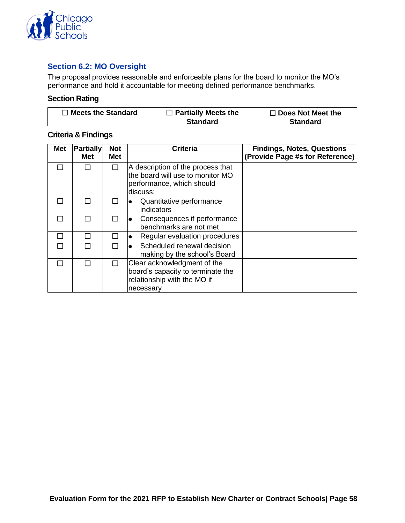![](_page_60_Picture_0.jpeg)

## <span id="page-60-0"></span>**Section 6.2: MO Oversight**

The proposal provides reasonable and enforceable plans for the board to monitor the MO's performance and hold it accountable for meeting defined performance benchmarks.

## **Section Rating**

| $\Box$ Meets the Standard | $\Box$ Partially Meets the | $\Box$ Does Not Meet the |
|---------------------------|----------------------------|--------------------------|
|                           | <b>Standard</b>            | <b>Standard</b>          |

| <b>Met</b> | <b>Partially</b><br><b>Met</b> | <b>Not</b><br><b>Met</b> | <b>Criteria</b>                                                                                                | <b>Findings, Notes, Questions</b><br>(Provide Page #s for Reference) |
|------------|--------------------------------|--------------------------|----------------------------------------------------------------------------------------------------------------|----------------------------------------------------------------------|
|            |                                | П                        | A description of the process that<br>the board will use to monitor MO<br>performance, which should<br>discuss: |                                                                      |
|            |                                |                          | Quantitative performance<br>indicators                                                                         |                                                                      |
|            |                                |                          | Consequences if performance<br>benchmarks are not met                                                          |                                                                      |
|            |                                |                          | Regular evaluation procedures                                                                                  |                                                                      |
|            |                                |                          | Scheduled renewal decision<br>making by the school's Board                                                     |                                                                      |
|            | П                              | П                        | Clear acknowledgment of the<br>board's capacity to terminate the<br>relationship with the MO if<br>Inecessary  |                                                                      |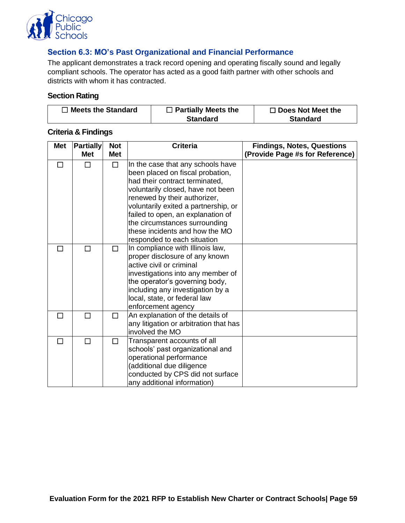![](_page_61_Picture_0.jpeg)

## <span id="page-61-0"></span>**Section 6.3: MO's Past Organizational and Financial Performance**

The applicant demonstrates a track record opening and operating fiscally sound and legally compliant schools. The operator has acted as a good faith partner with other schools and districts with whom it has contracted.

#### **Section Rating**

| $\Box$ Meets the Standard | $\Box$ Partially Meets the | $\Box$ Does Not Meet the |
|---------------------------|----------------------------|--------------------------|
|                           | <b>Standard</b>            | <b>Standard</b>          |

| <b>Met</b> | <b>Partially</b><br><b>Met</b> | <b>Not</b><br><b>Met</b> | <b>Criteria</b>                                                                                                                                                                                                                                                                                                                                             | <b>Findings, Notes, Questions</b><br>(Provide Page #s for Reference) |
|------------|--------------------------------|--------------------------|-------------------------------------------------------------------------------------------------------------------------------------------------------------------------------------------------------------------------------------------------------------------------------------------------------------------------------------------------------------|----------------------------------------------------------------------|
| П          | П                              | □                        | In the case that any schools have<br>been placed on fiscal probation,<br>had their contract terminated,<br>voluntarily closed, have not been<br>renewed by their authorizer,<br>voluntarily exited a partnership, or<br>failed to open, an explanation of<br>the circumstances surrounding<br>these incidents and how the MO<br>responded to each situation |                                                                      |
| П          | П                              | П                        | In compliance with Illinois law,<br>proper disclosure of any known<br>active civil or criminal<br>investigations into any member of<br>the operator's governing body,<br>including any investigation by a<br>local, state, or federal law<br>enforcement agency                                                                                             |                                                                      |
| П          | П                              | П                        | An explanation of the details of<br>any litigation or arbitration that has<br>involved the MO                                                                                                                                                                                                                                                               |                                                                      |
| П          | П                              | П                        | Transparent accounts of all<br>schools' past organizational and<br>operational performance<br>(additional due diligence<br>conducted by CPS did not surface<br>any additional information)                                                                                                                                                                  |                                                                      |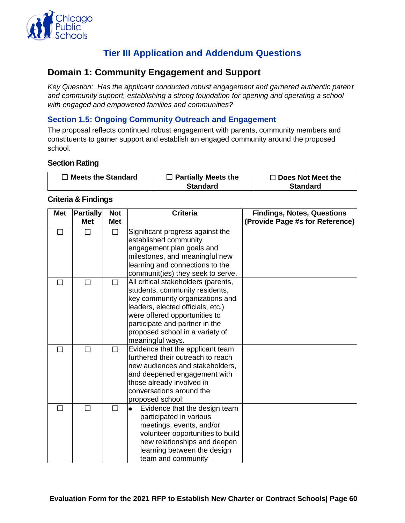![](_page_62_Picture_0.jpeg)

# **Tier III Application and Addendum Questions**

## <span id="page-62-1"></span><span id="page-62-0"></span>**Domain 1: Community Engagement and Support**

*Key Question: Has the applicant conducted robust engagement and garnered authentic parent and community support, establishing a strong foundation for opening and operating a school with engaged and empowered families and communities?* 

## <span id="page-62-2"></span>**Section 1.5: Ongoing Community Outreach and Engagement**

The proposal reflects continued robust engagement with parents, community members and constituents to garner support and establish an engaged community around the proposed school.

#### **Section Rating**

| $\Box$ Meets the Standard | $\Box$ Partially Meets the | $\Box$ Does Not Meet the |
|---------------------------|----------------------------|--------------------------|
|                           | <b>Standard</b>            | <b>Standard</b>          |

| <b>Met</b> | <b>Partially</b> | <b>Not</b> | <b>Criteria</b>                                                       | <b>Findings, Notes, Questions</b> |
|------------|------------------|------------|-----------------------------------------------------------------------|-----------------------------------|
|            | <b>Met</b>       | <b>Met</b> |                                                                       | (Provide Page #s for Reference)   |
| П          |                  | $\Box$     | Significant progress against the                                      |                                   |
|            |                  |            | established community                                                 |                                   |
|            |                  |            | engagement plan goals and                                             |                                   |
|            |                  |            | milestones, and meaningful new                                        |                                   |
|            |                  |            | learning and connections to the                                       |                                   |
|            |                  |            | communit(ies) they seek to serve.                                     |                                   |
| П          | П                | $\Box$     | All critical stakeholders (parents,                                   |                                   |
|            |                  |            | students, community residents,                                        |                                   |
|            |                  |            | key community organizations and                                       |                                   |
|            |                  |            | leaders, elected officials, etc.)                                     |                                   |
|            |                  |            | were offered opportunities to                                         |                                   |
|            |                  |            | participate and partner in the                                        |                                   |
|            |                  |            | proposed school in a variety of                                       |                                   |
|            |                  |            | meaningful ways.                                                      |                                   |
| П          | П                | $\Box$     | Evidence that the applicant team<br>furthered their outreach to reach |                                   |
|            |                  |            | new audiences and stakeholders,                                       |                                   |
|            |                  |            | and deepened engagement with                                          |                                   |
|            |                  |            | those already involved in                                             |                                   |
|            |                  |            | conversations around the                                              |                                   |
|            |                  |            | proposed school:                                                      |                                   |
| П          | П                | П          | Evidence that the design team                                         |                                   |
|            |                  |            | participated in various                                               |                                   |
|            |                  |            | meetings, events, and/or                                              |                                   |
|            |                  |            | volunteer opportunities to build                                      |                                   |
|            |                  |            | new relationships and deepen                                          |                                   |
|            |                  |            | learning between the design                                           |                                   |
|            |                  |            | team and community                                                    |                                   |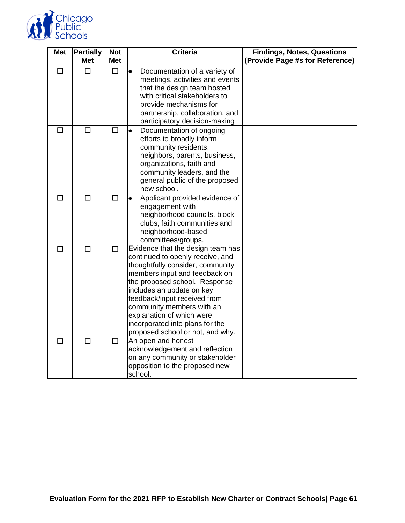![](_page_63_Picture_0.jpeg)

| <b>Met</b> | <b>Partially</b><br><b>Met</b> | <b>Not</b><br><b>Met</b> | <b>Criteria</b>                                                                                                                                                                                                                                                                                                                                                           | <b>Findings, Notes, Questions</b><br>(Provide Page #s for Reference) |
|------------|--------------------------------|--------------------------|---------------------------------------------------------------------------------------------------------------------------------------------------------------------------------------------------------------------------------------------------------------------------------------------------------------------------------------------------------------------------|----------------------------------------------------------------------|
| $\Box$     | $\Box$                         | $\Box$                   | Documentation of a variety of<br>$\bullet$<br>meetings, activities and events<br>that the design team hosted<br>with critical stakeholders to<br>provide mechanisms for<br>partnership, collaboration, and<br>participatory decision-making                                                                                                                               |                                                                      |
| □          | $\Box$                         | □                        | Documentation of ongoing<br>$\bullet$<br>efforts to broadly inform<br>community residents,<br>neighbors, parents, business,<br>organizations, faith and<br>community leaders, and the<br>general public of the proposed<br>new school.                                                                                                                                    |                                                                      |
| П          | П                              | $\Box$                   | Applicant provided evidence of<br>$\bullet$<br>engagement with<br>neighborhood councils, block<br>clubs, faith communities and<br>neighborhood-based<br>committees/groups.                                                                                                                                                                                                |                                                                      |
| $\Box$     | $\Box$                         | $\Box$                   | Evidence that the design team has<br>continued to openly receive, and<br>thoughtfully consider, community<br>members input and feedback on<br>the proposed school. Response<br>includes an update on key<br>feedback/input received from<br>community members with an<br>explanation of which were<br>incorporated into plans for the<br>proposed school or not, and why. |                                                                      |
| $\Box$     | $\Box$                         | $\Box$                   | An open and honest<br>acknowledgement and reflection<br>on any community or stakeholder<br>opposition to the proposed new<br>school.                                                                                                                                                                                                                                      |                                                                      |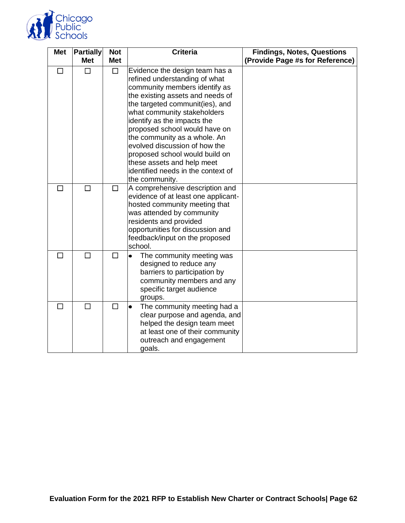![](_page_64_Picture_0.jpeg)

| <b>Met</b> | <b>Partially</b><br><b>Met</b> | <b>Not</b><br><b>Met</b> | <b>Criteria</b>                                                                                                                                                                                                                                                                                                                                                                                                                                                 | <b>Findings, Notes, Questions</b><br>(Provide Page #s for Reference) |
|------------|--------------------------------|--------------------------|-----------------------------------------------------------------------------------------------------------------------------------------------------------------------------------------------------------------------------------------------------------------------------------------------------------------------------------------------------------------------------------------------------------------------------------------------------------------|----------------------------------------------------------------------|
| □          | $\Box$                         | $\Box$                   | Evidence the design team has a<br>refined understanding of what<br>community members identify as<br>the existing assets and needs of<br>the targeted communit(ies), and<br>what community stakeholders<br>identify as the impacts the<br>proposed school would have on<br>the community as a whole. An<br>evolved discussion of how the<br>proposed school would build on<br>these assets and help meet<br>identified needs in the context of<br>the community. |                                                                      |
| $\Box$     | П                              | □                        | A comprehensive description and<br>evidence of at least one applicant-<br>hosted community meeting that<br>was attended by community<br>residents and provided<br>opportunities for discussion and<br>feedback/input on the proposed<br>school.                                                                                                                                                                                                                 |                                                                      |
|            | П                              | П                        | The community meeting was<br>designed to reduce any<br>barriers to participation by<br>community members and any<br>specific target audience<br>groups.                                                                                                                                                                                                                                                                                                         |                                                                      |
| П          | $\Box$                         | $\Box$                   | The community meeting had a<br>$\bullet$<br>clear purpose and agenda, and<br>helped the design team meet<br>at least one of their community<br>outreach and engagement<br>goals.                                                                                                                                                                                                                                                                                |                                                                      |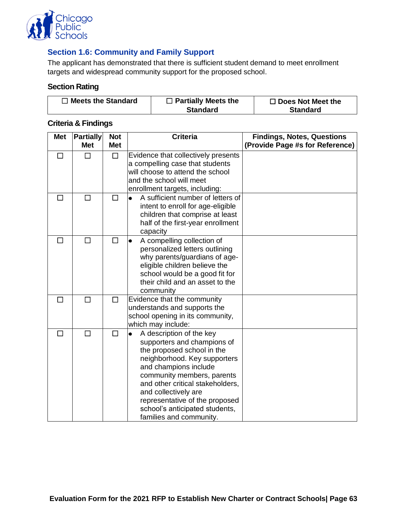![](_page_65_Picture_0.jpeg)

## <span id="page-65-0"></span>**Section 1.6: Community and Family Support**

The applicant has demonstrated that there is sufficient student demand to meet enrollment targets and widespread community support for the proposed school.

## **Section Rating**

| $\Box$ Meets the Standard | $\Box$ Partially Meets the | $\Box$ Does Not Meet the |
|---------------------------|----------------------------|--------------------------|
|                           | <b>Standard</b>            | <b>Standard</b>          |

| <b>Met</b> | <b>Partially</b><br><b>Met</b> | <b>Not</b><br><b>Met</b> | <b>Criteria</b>                                                                                                                                                                                                                                                                                                                              | <b>Findings, Notes, Questions</b><br>(Provide Page #s for Reference) |
|------------|--------------------------------|--------------------------|----------------------------------------------------------------------------------------------------------------------------------------------------------------------------------------------------------------------------------------------------------------------------------------------------------------------------------------------|----------------------------------------------------------------------|
| □          | П                              | $\Box$                   | Evidence that collectively presents<br>a compelling case that students<br>will choose to attend the school<br>and the school will meet<br>enrollment targets, including:                                                                                                                                                                     |                                                                      |
| П          | П                              | □                        | A sufficient number of letters of<br>$\bullet$<br>intent to enroll for age-eligible<br>children that comprise at least<br>half of the first-year enrollment<br>capacity                                                                                                                                                                      |                                                                      |
| П          | $\Box$                         | $\Box$                   | A compelling collection of<br>personalized letters outlining<br>why parents/guardians of age-<br>eligible children believe the<br>school would be a good fit for<br>their child and an asset to the<br>community                                                                                                                             |                                                                      |
| $\Box$     | $\Box$                         | $\Box$                   | Evidence that the community<br>understands and supports the<br>school opening in its community,<br>which may include:                                                                                                                                                                                                                        |                                                                      |
| П          | П                              | □                        | A description of the key<br>٠<br>supporters and champions of<br>the proposed school in the<br>neighborhood. Key supporters<br>and champions include<br>community members, parents<br>and other critical stakeholders,<br>and collectively are<br>representative of the proposed<br>school's anticipated students,<br>families and community. |                                                                      |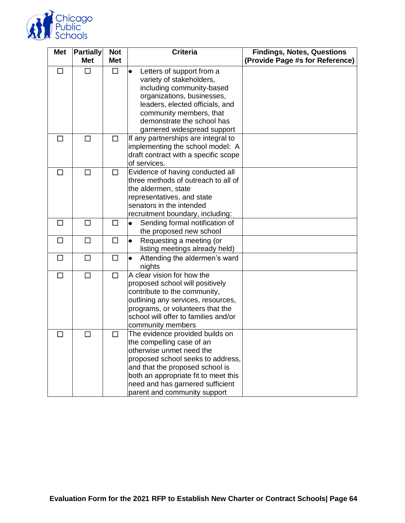![](_page_66_Picture_0.jpeg)

| <b>Met</b> | <b>Partially</b><br><b>Met</b> | <b>Not</b><br><b>Met</b> | <b>Criteria</b>                                                                                                                                                                                                                                                              | <b>Findings, Notes, Questions</b><br>(Provide Page #s for Reference) |
|------------|--------------------------------|--------------------------|------------------------------------------------------------------------------------------------------------------------------------------------------------------------------------------------------------------------------------------------------------------------------|----------------------------------------------------------------------|
|            | П                              | $\Box$                   | Letters of support from a<br>$\bullet$<br>variety of stakeholders,<br>including community-based<br>organizations, businesses,<br>leaders, elected officials, and<br>community members, that<br>demonstrate the school has<br>garnered widespread support                     |                                                                      |
| ΙI         | П                              | □                        | If any partnerships are integral to<br>implementing the school model: A<br>draft contract with a specific scope<br>of services.                                                                                                                                              |                                                                      |
| П          | $\Box$                         | $\Box$                   | Evidence of having conducted all<br>three methods of outreach to all of<br>the aldermen, state<br>representatives, and state<br>senators in the intended<br>recruitment boundary, including:                                                                                 |                                                                      |
| □          | □                              | □                        | Sending formal notification of<br>$\bullet$<br>the proposed new school                                                                                                                                                                                                       |                                                                      |
| $\Box$     | $\Box$                         | $\Box$                   | Requesting a meeting (or<br>$\bullet$<br>listing meetings already held)                                                                                                                                                                                                      |                                                                      |
| $\Box$     | $\Box$                         | $\Box$                   | Attending the aldermen's ward<br>$\bullet$<br>nights                                                                                                                                                                                                                         |                                                                      |
| $\Box$     | $\Box$                         | $\Box$                   | A clear vision for how the<br>proposed school will positively<br>contribute to the community,<br>outlining any services, resources,<br>programs, or volunteers that the<br>school will offer to families and/or<br>community members                                         |                                                                      |
|            | $\mathsf{L}$                   | □                        | The evidence provided builds on<br>the compelling case of an<br>otherwise unmet need the<br>proposed school seeks to address,<br>and that the proposed school is<br>both an appropriate fit to meet this<br>need and has garnered sufficient<br>parent and community support |                                                                      |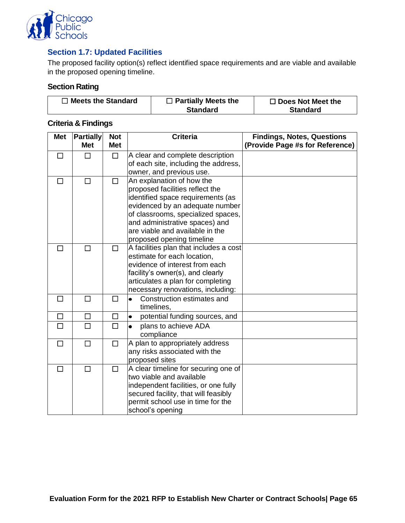![](_page_67_Picture_0.jpeg)

## <span id="page-67-0"></span>**Section 1.7: Updated Facilities**

The proposed facility option(s) reflect identified space requirements and are viable and available in the proposed opening timeline.

## **Section Rating**

| $\Box$ Meets the Standard | $\Box$ Partially Meets the | $\Box$ Does Not Meet the |
|---------------------------|----------------------------|--------------------------|
|                           | <b>Standard</b>            | <b>Standard</b>          |

| <b>Met</b> | <b>Partially</b><br><b>Met</b> | <b>Not</b><br><b>Met</b> | <b>Criteria</b>                             | <b>Findings, Notes, Questions</b><br>(Provide Page #s for Reference) |
|------------|--------------------------------|--------------------------|---------------------------------------------|----------------------------------------------------------------------|
| П          | П                              | $\Box$                   | A clear and complete description            |                                                                      |
|            |                                |                          | of each site, including the address,        |                                                                      |
|            |                                |                          | owner, and previous use.                    |                                                                      |
| $\Box$     | $\Box$                         | $\Box$                   | An explanation of how the                   |                                                                      |
|            |                                |                          | proposed facilities reflect the             |                                                                      |
|            |                                |                          | identified space requirements (as           |                                                                      |
|            |                                |                          | evidenced by an adequate number             |                                                                      |
|            |                                |                          | of classrooms, specialized spaces,          |                                                                      |
|            |                                |                          | and administrative spaces) and              |                                                                      |
|            |                                |                          | are viable and available in the             |                                                                      |
|            |                                |                          | proposed opening timeline                   |                                                                      |
| П          | П                              | $\Box$                   | A facilities plan that includes a cost      |                                                                      |
|            |                                |                          | estimate for each location,                 |                                                                      |
|            |                                |                          | evidence of interest from each              |                                                                      |
|            |                                |                          | facility's owner(s), and clearly            |                                                                      |
|            |                                |                          | articulates a plan for completing           |                                                                      |
|            |                                |                          | necessary renovations, including:           |                                                                      |
| П          | П                              | □                        | Construction estimates and<br>timelines,    |                                                                      |
| $\Box$     | $\Box$                         | $\Box$                   | potential funding sources, and<br>$\bullet$ |                                                                      |
| П          | П                              | $\Box$                   | plans to achieve ADA                        |                                                                      |
|            |                                |                          | compliance                                  |                                                                      |
| $\Box$     | $\Box$                         | $\Box$                   | A plan to appropriately address             |                                                                      |
|            |                                |                          | any risks associated with the               |                                                                      |
|            |                                |                          | proposed sites                              |                                                                      |
| П          | П                              | $\Box$                   | A clear timeline for securing one of        |                                                                      |
|            |                                |                          | two viable and available                    |                                                                      |
|            |                                |                          | independent facilities, or one fully        |                                                                      |
|            |                                |                          | secured facility, that will feasibly        |                                                                      |
|            |                                |                          | permit school use in time for the           |                                                                      |
|            |                                |                          | school's opening                            |                                                                      |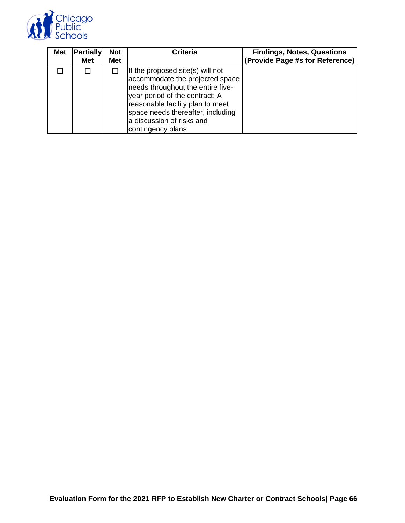![](_page_68_Picture_0.jpeg)

| <b>Met</b> | <b>Partially</b><br><b>Met</b> | <b>Not</b><br><b>Met</b> | <b>Criteria</b>                                                                                                                                                                                                                                                       | <b>Findings, Notes, Questions</b><br>(Provide Page #s for Reference) |
|------------|--------------------------------|--------------------------|-----------------------------------------------------------------------------------------------------------------------------------------------------------------------------------------------------------------------------------------------------------------------|----------------------------------------------------------------------|
|            |                                |                          | If the proposed site(s) will not<br>accommodate the projected space<br>needs throughout the entire five-<br>year period of the contract: A<br>reasonable facility plan to meet<br>space needs thereafter, including<br>a discussion of risks and<br>contingency plans |                                                                      |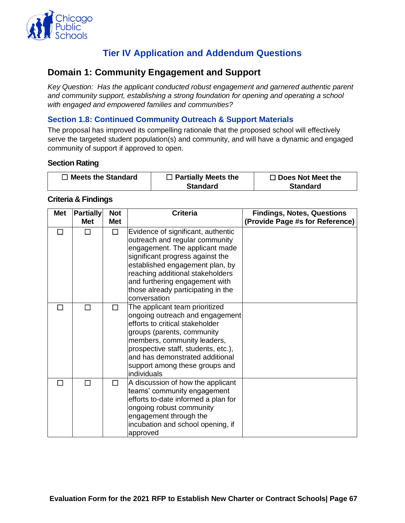![](_page_69_Picture_0.jpeg)

# **Tier IV Application and Addendum Questions**

## <span id="page-69-1"></span><span id="page-69-0"></span>**Domain 1: Community Engagement and Support**

*Key Question: Has the applicant conducted robust engagement and garnered authentic parent and community support, establishing a strong foundation for opening and operating a school with engaged and empowered families and communities?* 

## <span id="page-69-2"></span>**Section 1.8: Continued Community Outreach & Support Materials**

The proposal has improved its compelling rationale that the proposed school will effectively serve the targeted student population(s) and community, and will have a dynamic and engaged community of support if approved to open.

#### **Section Rating**

| $\Box$ Meets the Standard | $\Box$ Partially Meets the | $\Box$ Does Not Meet the |
|---------------------------|----------------------------|--------------------------|
|                           | Standard                   | <b>Standard</b>          |

| <b>Met</b> | <b>Partially</b><br><b>Met</b> | <b>Not</b><br><b>Met</b> | <b>Criteria</b>                                                                                                                                                                                                                                                                                           | <b>Findings, Notes, Questions</b><br>(Provide Page #s for Reference) |
|------------|--------------------------------|--------------------------|-----------------------------------------------------------------------------------------------------------------------------------------------------------------------------------------------------------------------------------------------------------------------------------------------------------|----------------------------------------------------------------------|
|            |                                | $\Box$                   | Evidence of significant, authentic<br>outreach and regular community<br>engagement. The applicant made<br>significant progress against the<br>established engagement plan, by<br>reaching additional stakeholders<br>and furthering engagement with<br>those already participating in the<br>conversation |                                                                      |
|            |                                | П                        | The applicant team prioritized<br>ongoing outreach and engagement<br>efforts to critical stakeholder<br>groups (parents, community<br>members, community leaders,<br>prospective staff, students, etc.),<br>and has demonstrated additional<br>support among these groups and<br>individuals              |                                                                      |
|            |                                | П                        | A discussion of how the applicant<br>teams' community engagement<br>efforts to-date informed a plan for<br>ongoing robust community<br>engagement through the<br>incubation and school opening, if<br>approved                                                                                            |                                                                      |